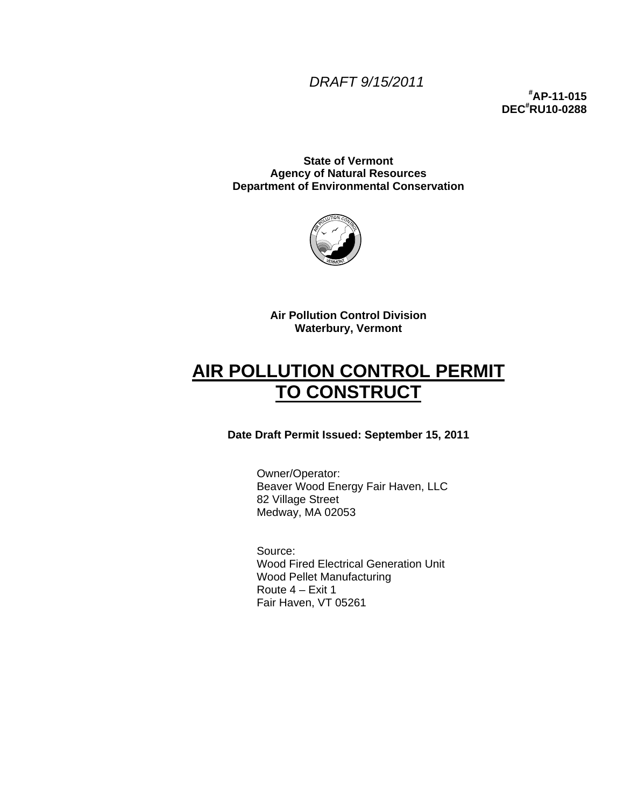### *DRAFT 9/15/2011*

**# AP-11-015 DEC# RU10-0288** 

**State of Vermont Agency of Natural Resources Department of Environmental Conservation** 



**Air Pollution Control Division Waterbury, Vermont** 

# **AIR POLLUTION CONTROL PERMIT TO CONSTRUCT**

### **Date Draft Permit Issued: September 15, 2011**

Owner/Operator: Beaver Wood Energy Fair Haven, LLC 82 Village Street Medway, MA 02053

Source: Wood Fired Electrical Generation Unit Wood Pellet Manufacturing Route 4 – Exit 1 Fair Haven, VT 05261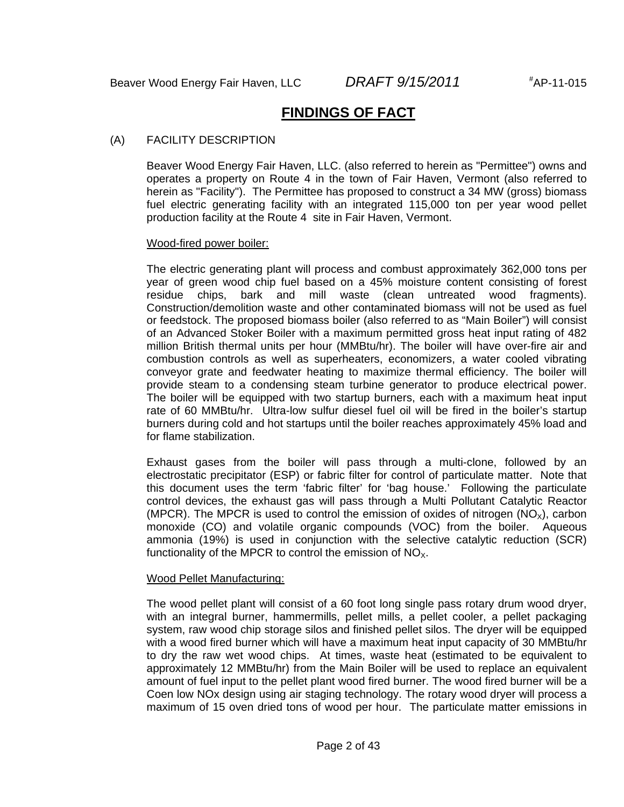## **FINDINGS OF FACT**

#### (A) FACILITY DESCRIPTION

Beaver Wood Energy Fair Haven, LLC. (also referred to herein as "Permittee") owns and operates a property on Route 4 in the town of Fair Haven, Vermont (also referred to herein as "Facility"). The Permittee has proposed to construct a 34 MW (gross) biomass fuel electric generating facility with an integrated 115,000 ton per year wood pellet production facility at the Route 4 site in Fair Haven, Vermont.

#### Wood-fired power boiler:

The electric generating plant will process and combust approximately 362,000 tons per year of green wood chip fuel based on a 45% moisture content consisting of forest residue chips, bark and mill waste (clean untreated wood fragments). Construction/demolition waste and other contaminated biomass will not be used as fuel or feedstock. The proposed biomass boiler (also referred to as "Main Boiler") will consist of an Advanced Stoker Boiler with a maximum permitted gross heat input rating of 482 million British thermal units per hour (MMBtu/hr). The boiler will have over-fire air and combustion controls as well as superheaters, economizers, a water cooled vibrating conveyor grate and feedwater heating to maximize thermal efficiency. The boiler will provide steam to a condensing steam turbine generator to produce electrical power. The boiler will be equipped with two startup burners, each with a maximum heat input rate of 60 MMBtu/hr. Ultra-low sulfur diesel fuel oil will be fired in the boiler's startup burners during cold and hot startups until the boiler reaches approximately 45% load and for flame stabilization.

Exhaust gases from the boiler will pass through a multi-clone, followed by an electrostatic precipitator (ESP) or fabric filter for control of particulate matter. Note that this document uses the term 'fabric filter' for 'bag house.' Following the particulate control devices, the exhaust gas will pass through a Multi Pollutant Catalytic Reactor (MPCR). The MPCR is used to control the emission of oxides of nitrogen  $(NO<sub>x</sub>)$ , carbon monoxide (CO) and volatile organic compounds (VOC) from the boiler. Aqueous ammonia (19%) is used in conjunction with the selective catalytic reduction (SCR) functionality of the MPCR to control the emission of  $NO<sub>x</sub>$ .

#### Wood Pellet Manufacturing:

The wood pellet plant will consist of a 60 foot long single pass rotary drum wood dryer, with an integral burner, hammermills, pellet mills, a pellet cooler, a pellet packaging system, raw wood chip storage silos and finished pellet silos. The dryer will be equipped with a wood fired burner which will have a maximum heat input capacity of 30 MMBtu/hr to dry the raw wet wood chips. At times, waste heat (estimated to be equivalent to approximately 12 MMBtu/hr) from the Main Boiler will be used to replace an equivalent amount of fuel input to the pellet plant wood fired burner. The wood fired burner will be a Coen low NOx design using air staging technology. The rotary wood dryer will process a maximum of 15 oven dried tons of wood per hour. The particulate matter emissions in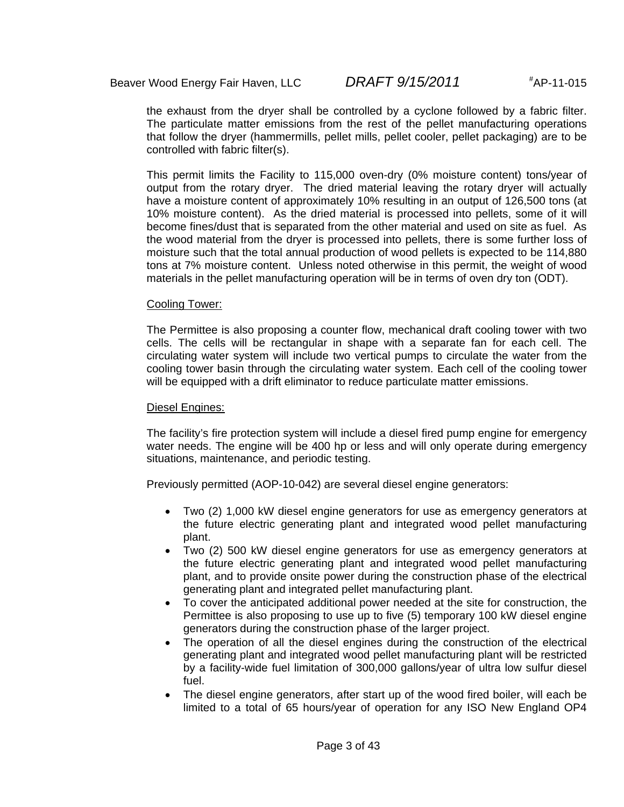the exhaust from the dryer shall be controlled by a cyclone followed by a fabric filter. The particulate matter emissions from the rest of the pellet manufacturing operations that follow the dryer (hammermills, pellet mills, pellet cooler, pellet packaging) are to be controlled with fabric filter(s).

This permit limits the Facility to 115,000 oven-dry (0% moisture content) tons/year of output from the rotary dryer. The dried material leaving the rotary dryer will actually have a moisture content of approximately 10% resulting in an output of 126,500 tons (at 10% moisture content). As the dried material is processed into pellets, some of it will become fines/dust that is separated from the other material and used on site as fuel. As the wood material from the dryer is processed into pellets, there is some further loss of moisture such that the total annual production of wood pellets is expected to be 114,880 tons at 7% moisture content. Unless noted otherwise in this permit, the weight of wood materials in the pellet manufacturing operation will be in terms of oven dry ton (ODT).

#### Cooling Tower:

The Permittee is also proposing a counter flow, mechanical draft cooling tower with two cells. The cells will be rectangular in shape with a separate fan for each cell. The circulating water system will include two vertical pumps to circulate the water from the cooling tower basin through the circulating water system. Each cell of the cooling tower will be equipped with a drift eliminator to reduce particulate matter emissions.

#### Diesel Engines:

The facility's fire protection system will include a diesel fired pump engine for emergency water needs. The engine will be 400 hp or less and will only operate during emergency situations, maintenance, and periodic testing.

Previously permitted (AOP-10-042) are several diesel engine generators:

- Two (2) 1,000 kW diesel engine generators for use as emergency generators at the future electric generating plant and integrated wood pellet manufacturing plant.
- Two (2) 500 kW diesel engine generators for use as emergency generators at the future electric generating plant and integrated wood pellet manufacturing plant, and to provide onsite power during the construction phase of the electrical generating plant and integrated pellet manufacturing plant.
- To cover the anticipated additional power needed at the site for construction, the Permittee is also proposing to use up to five (5) temporary 100 kW diesel engine generators during the construction phase of the larger project.
- The operation of all the diesel engines during the construction of the electrical generating plant and integrated wood pellet manufacturing plant will be restricted by a facility-wide fuel limitation of 300,000 gallons/year of ultra low sulfur diesel fuel.
- The diesel engine generators, after start up of the wood fired boiler, will each be limited to a total of 65 hours/year of operation for any ISO New England OP4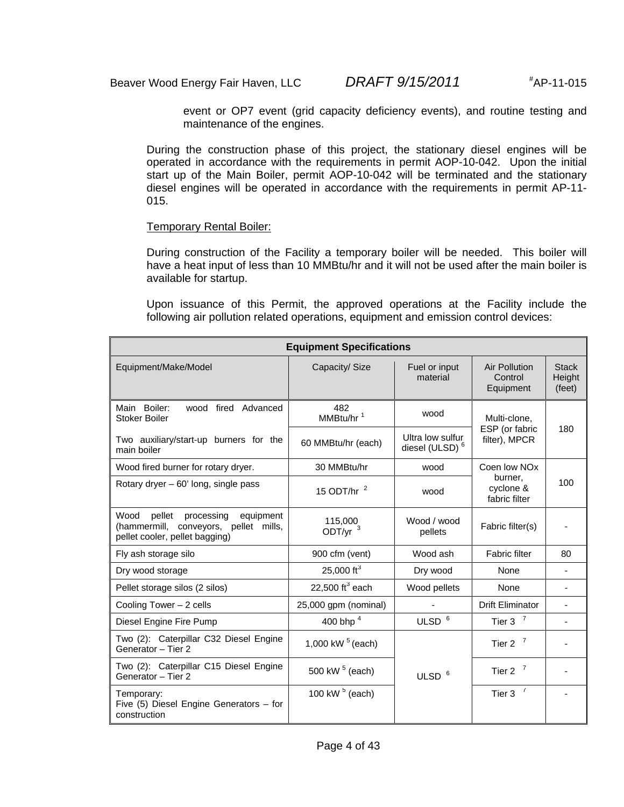event or OP7 event (grid capacity deficiency events), and routine testing and maintenance of the engines.

During the construction phase of this project, the stationary diesel engines will be operated in accordance with the requirements in permit AOP-10-042. Upon the initial start up of the Main Boiler, permit AOP-10-042 will be terminated and the stationary diesel engines will be operated in accordance with the requirements in permit AP-11- 015.

#### Temporary Rental Boiler:

During construction of the Facility a temporary boiler will be needed. This boiler will have a heat input of less than 10 MMBtu/hr and it will not be used after the main boiler is available for startup.

Upon issuance of this Permit, the approved operations at the Facility include the following air pollution related operations, equipment and emission control devices:

| <b>Equipment Specifications</b>                                                                                      |                              |                                                |                                       |                                  |  |
|----------------------------------------------------------------------------------------------------------------------|------------------------------|------------------------------------------------|---------------------------------------|----------------------------------|--|
| Equipment/Make/Model                                                                                                 | Capacity/ Size               | Fuel or input<br>material                      | Air Pollution<br>Control<br>Equipment | <b>Stack</b><br>Height<br>(feet) |  |
| Main Boiler:<br>wood fired Advanced<br>Stoker Boiler                                                                 | 482<br>MMBtu/hr <sup>1</sup> | wood<br>Multi-clone.                           |                                       |                                  |  |
| Two auxiliary/start-up burners for the<br>main boiler                                                                | 60 MMBtu/hr (each)           | Ultra low sulfur<br>diesel (ULSD) <sup>6</sup> | ESP (or fabric<br>filter), MPCR       | 180                              |  |
| Wood fired burner for rotary dryer.                                                                                  | 30 MMBtu/hr                  | wood                                           | Coen low NO <sub>x</sub>              |                                  |  |
| Rotary dryer – 60' long, single pass                                                                                 | 15 ODT/hr $2$                | wood                                           | burner.<br>cyclone &<br>fabric filter | 100                              |  |
| Wood<br>pellet<br>processing<br>equipment<br>(hammermill, conveyors, pellet mills,<br>pellet cooler, pellet bagging) | 115,000<br>ODT/yr $3$        | Wood / wood<br>pellets                         | Fabric filter(s)                      |                                  |  |
| Fly ash storage silo                                                                                                 | 900 cfm (vent)               | Wood ash                                       | <b>Fabric filter</b>                  | 80                               |  |
| Dry wood storage                                                                                                     | 25,000 $ft^3$                | Dry wood                                       | None                                  |                                  |  |
| Pellet storage silos (2 silos)                                                                                       | 22,500 $ft^3$ each           | Wood pellets                                   | None                                  | ÷,                               |  |
| Cooling Tower $-2$ cells                                                                                             | 25,000 gpm (nominal)         |                                                | <b>Drift Eliminator</b>               |                                  |  |
| Diesel Engine Fire Pump                                                                                              | 400 bhp <sup>4</sup>         | ULSD <sup>6</sup>                              | Tier 3 $7$                            |                                  |  |
| Two (2): Caterpillar C32 Diesel Engine<br>Generator - Tier 2                                                         | 1,000 kW $5$ (each)          |                                                | Tier 2 $7$                            |                                  |  |
| Two (2): Caterpillar C15 Diesel Engine<br>Generator - Tier 2                                                         | 500 kW <sup>5</sup> (each)   | Tier 2 $7$<br>ULSD <sup>6</sup>                |                                       |                                  |  |
| Temporary:<br>Five $(5)$ Diesel Engine Generators – for<br>construction                                              | 100 kW $5$ (each)            | Tier $37$                                      |                                       |                                  |  |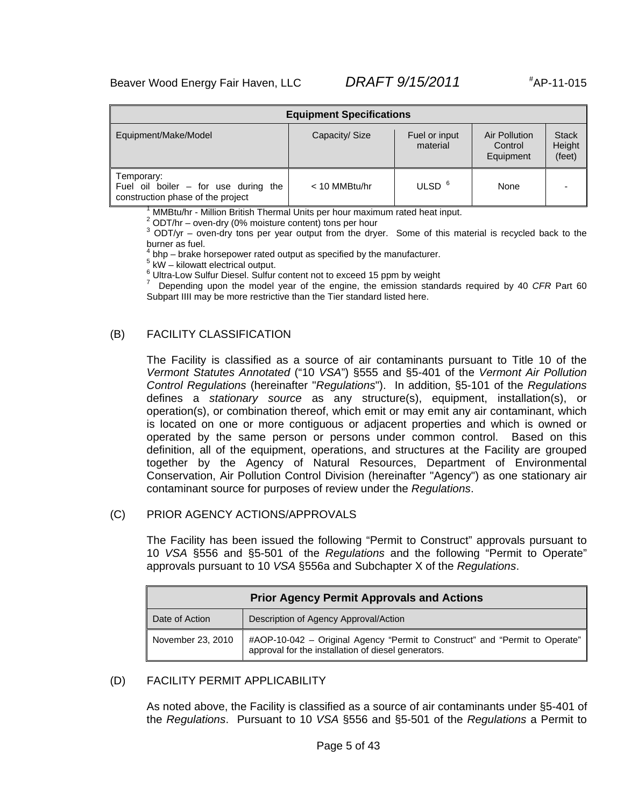| <b>Equipment Specifications</b>                                                              |                           |                                       |                                  |  |  |
|----------------------------------------------------------------------------------------------|---------------------------|---------------------------------------|----------------------------------|--|--|
| Equipment/Make/Model                                                                         | Fuel or input<br>material | Air Pollution<br>Control<br>Equipment | <b>Stack</b><br>Height<br>(feet) |  |  |
| Temporary:<br>Fuel oil boiler $-$ for use during<br>the<br>construction phase of the project | $<$ 10 MMBtu/hr           | ULSD <sup>6</sup>                     | None                             |  |  |

1 MMBtu/hr - Million British Thermal Units per hour maximum rated heat input.

 $2$  ODT/hr – oven-dry (0% moisture content) tons per hour

 $3$  ODT/yr – oven-dry tons per year output from the dryer. Some of this material is recycled back to the burner as fuel.

4 bhp – brake horsepower rated output as specified by the manufacturer.

 $5$  kW – kilowatt electrical output.

 $^6$  Ultra-Low Sulfur Diesel. Sulfur content not to exceed 15 ppm by weight  $^7$ 

 Depending upon the model year of the engine, the emission standards required by 40 *CFR* Part 60 Subpart IIII may be more restrictive than the Tier standard listed here.

#### (B) FACILITY CLASSIFICATION

The Facility is classified as a source of air contaminants pursuant to Title 10 of the *Vermont Statutes Annotated* ("10 *VSA*") §555 and §5-401 of the *Vermont Air Pollution Control Regulations* (hereinafter "*Regulations*"). In addition, §5-101 of the *Regulations* defines a *stationary source* as any structure(s), equipment, installation(s), or operation(s), or combination thereof, which emit or may emit any air contaminant, which is located on one or more contiguous or adjacent properties and which is owned or operated by the same person or persons under common control. Based on this definition, all of the equipment, operations, and structures at the Facility are grouped together by the Agency of Natural Resources, Department of Environmental Conservation, Air Pollution Control Division (hereinafter "Agency") as one stationary air contaminant source for purposes of review under the *Regulations*.

#### (C) PRIOR AGENCY ACTIONS/APPROVALS

The Facility has been issued the following "Permit to Construct" approvals pursuant to 10 *VSA* §556 and §5-501 of the *Regulations* and the following "Permit to Operate" approvals pursuant to 10 *VSA* §556a and Subchapter X of the *Regulations*.

| <b>Prior Agency Permit Approvals and Actions</b> |                                                                                                                                    |  |  |  |
|--------------------------------------------------|------------------------------------------------------------------------------------------------------------------------------------|--|--|--|
| Date of Action                                   | Description of Agency Approval/Action                                                                                              |  |  |  |
| November 23, 2010                                | #AOP-10-042 - Original Agency "Permit to Construct" and "Permit to Operate"<br>approval for the installation of diesel generators. |  |  |  |

#### (D) FACILITY PERMIT APPLICABILITY

As noted above, the Facility is classified as a source of air contaminants under §5-401 of the *Regulations*. Pursuant to 10 *VSA* §556 and §5-501 of the *Regulations* a Permit to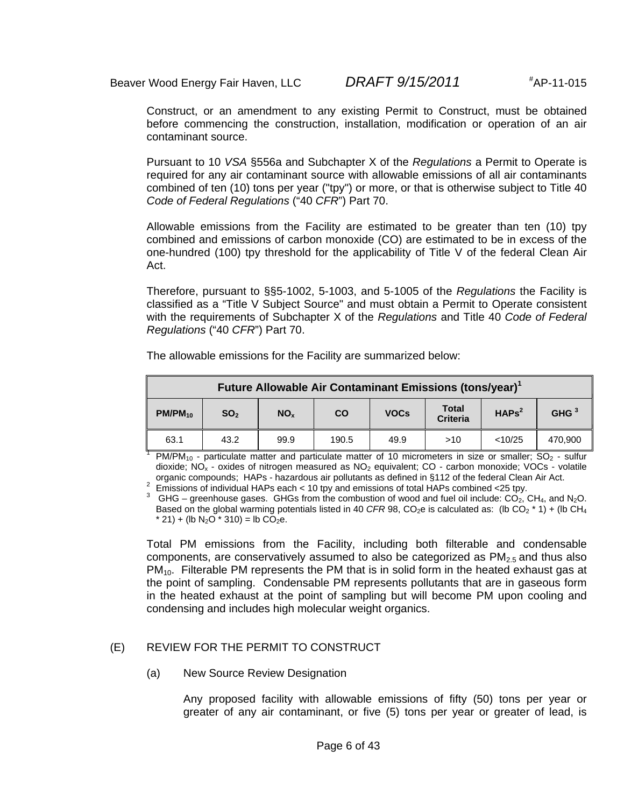Construct, or an amendment to any existing Permit to Construct, must be obtained before commencing the construction, installation, modification or operation of an air contaminant source.

Pursuant to 10 *VSA* §556a and Subchapter X of the *Regulations* a Permit to Operate is required for any air contaminant source with allowable emissions of all air contaminants combined of ten (10) tons per year ("tpy") or more, or that is otherwise subject to Title 40 *Code of Federal Regulations* ("40 *CFR*") Part 70.

Allowable emissions from the Facility are estimated to be greater than ten (10) tpy combined and emissions of carbon monoxide (CO) are estimated to be in excess of the one-hundred (100) tpy threshold for the applicability of Title V of the federal Clean Air Act.

Therefore, pursuant to §§5-1002, 5-1003, and 5-1005 of the *Regulations* the Facility is classified as a "Title V Subject Source" and must obtain a Permit to Operate consistent with the requirements of Subchapter X of the *Regulations* and Title 40 *Code of Federal Regulations* ("40 *CFR*") Part 70.

| Future Allowable Air Contaminant Emissions (tons/year) <sup>1</sup> |                 |                 |       |             |                                 |                   |                  |
|---------------------------------------------------------------------|-----------------|-----------------|-------|-------------|---------------------------------|-------------------|------------------|
| $PM/PM_{10}$                                                        | SO <sub>2</sub> | NO <sub>x</sub> | CO    | <b>VOCs</b> | <b>Total</b><br><b>Criteria</b> | HAPs <sup>2</sup> | GHG <sup>3</sup> |
| 63.1                                                                | 43.2            | 99.9            | 190.5 | 49.9        | >10                             | < 10/25           | 470,900          |

The allowable emissions for the Facility are summarized below:

<sup>1</sup> PM/PM<sub>10</sub> - particulate matter and particulate matter of 10 micrometers in size or smaller; SO<sub>2</sub> - sulfur dioxide;  $NO_x$  - oxides of nitrogen measured as  $NO_2$  equivalent;  $CO$  - carbon monoxide; VOCs - volatile organic compounds; HAPs - hazardous air pollutants as defined in §112 of the federal Clean Air Act. organic compounds; HAPs - hazardous air pollutants as defined in §112 of the federal Clean Air Act.<br><sup>2</sup> Emissions of individual HAPs each < 10 tpy and emissions of total HAPs combined <25 tpy.

<sup>3</sup> GHG – greenhouse gases. GHGs from the combustion of wood and fuel oil include:  $CO<sub>2</sub>$ , CH<sub>4</sub>, and N<sub>2</sub>O. Based on the global warming potentials listed in 40 *CFR* 98, CO<sub>2</sub>e is calculated as: (lb CO<sub>2</sub>  $*$  1) + (lb CH<sub>4</sub>  $*$  21) + (lb N<sub>2</sub>O  $*$  310) = lb CO<sub>2</sub>e.

Total PM emissions from the Facility, including both filterable and condensable components, are conservatively assumed to also be categorized as  $PM_{2.5}$  and thus also  $PM_{10}$ . Filterable PM represents the PM that is in solid form in the heated exhaust gas at the point of sampling. Condensable PM represents pollutants that are in gaseous form in the heated exhaust at the point of sampling but will become PM upon cooling and condensing and includes high molecular weight organics.

### (E) REVIEW FOR THE PERMIT TO CONSTRUCT

(a) New Source Review Designation

Any proposed facility with allowable emissions of fifty (50) tons per year or greater of any air contaminant, or five (5) tons per year or greater of lead, is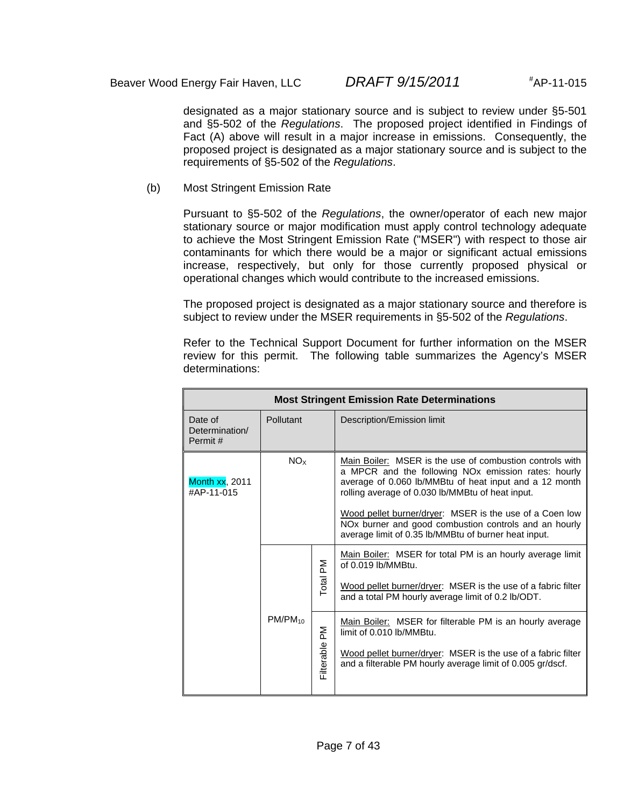designated as a major stationary source and is subject to review under §5-501 and §5-502 of the *Regulations*. The proposed project identified in Findings of Fact (A) above will result in a major increase in emissions. Consequently, the proposed project is designated as a major stationary source and is subject to the requirements of §5-502 of the *Regulations*.

(b) Most Stringent Emission Rate

Pursuant to §5-502 of the *Regulations*, the owner/operator of each new major stationary source or major modification must apply control technology adequate to achieve the Most Stringent Emission Rate ("MSER") with respect to those air contaminants for which there would be a major or significant actual emissions increase, respectively, but only for those currently proposed physical or operational changes which would contribute to the increased emissions.

The proposed project is designated as a major stationary source and therefore is subject to review under the MSER requirements in §5-502 of the *Regulations*.

Refer to the Technical Support Document for further information on the MSER review for this permit. The following table summarizes the Agency's MSER determinations:

| <b>Most Stringent Emission Rate Determinations</b> |              |                |                                                                                                                                                                                                                                                                                                                                                                                                                                   |  |
|----------------------------------------------------|--------------|----------------|-----------------------------------------------------------------------------------------------------------------------------------------------------------------------------------------------------------------------------------------------------------------------------------------------------------------------------------------------------------------------------------------------------------------------------------|--|
| Date of<br>Determination/<br>Permit#               | Pollutant    |                | Description/Emission limit                                                                                                                                                                                                                                                                                                                                                                                                        |  |
| Month xx, 2011<br>#AP-11-015                       | NOx          |                | Main Boiler: MSER is the use of combustion controls with<br>a MPCR and the following NO <sub>x</sub> emission rates: hourly<br>average of 0.060 lb/MMBtu of heat input and a 12 month<br>rolling average of 0.030 lb/MMBtu of heat input.<br>Wood pellet burner/dryer: MSER is the use of a Coen low<br>NO <sub>x</sub> burner and good combustion controls and an hourly<br>average limit of 0.35 lb/MMBtu of burner heat input. |  |
|                                                    | $PM/PM_{10}$ | Total PM<br>ΣĀ | Main Boiler: MSER for total PM is an hourly average limit<br>of 0.019 lb/MMBtu.<br>Wood pellet burner/dryer: MSER is the use of a fabric filter<br>and a total PM hourly average limit of 0.2 lb/ODT.<br>Main Boiler: MSER for filterable PM is an hourly average<br>limit of 0.010 lb/MMBtu.<br>Wood pellet burner/dryer: MSER is the use of a fabric filter<br>and a filterable PM hourly average limit of 0.005 gr/dscf.       |  |
| Filterable                                         |              |                |                                                                                                                                                                                                                                                                                                                                                                                                                                   |  |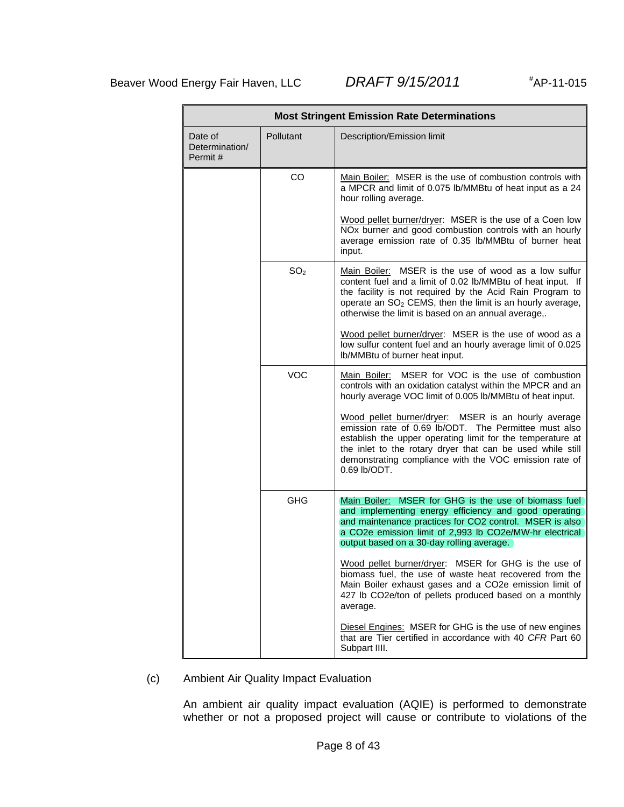AP-11-015

| <b>Most Stringent Emission Rate Determinations</b> |                  |                                                                                                                                                                                                                                                                                                                      |  |  |
|----------------------------------------------------|------------------|----------------------------------------------------------------------------------------------------------------------------------------------------------------------------------------------------------------------------------------------------------------------------------------------------------------------|--|--|
| Date of<br>Determination/<br>Permit #              | <b>Pollutant</b> | Description/Emission limit                                                                                                                                                                                                                                                                                           |  |  |
|                                                    | <b>CO</b>        | Main Boiler: MSER is the use of combustion controls with<br>a MPCR and limit of 0.075 lb/MMBtu of heat input as a 24<br>hour rolling average.                                                                                                                                                                        |  |  |
|                                                    |                  | Wood pellet burner/dryer: MSER is the use of a Coen low<br>NOx burner and good combustion controls with an hourly<br>average emission rate of 0.35 lb/MMBtu of burner heat<br>input.                                                                                                                                 |  |  |
|                                                    | SO <sub>2</sub>  | Main Boiler: MSER is the use of wood as a low sulfur<br>content fuel and a limit of 0.02 lb/MMBtu of heat input. If<br>the facility is not required by the Acid Rain Program to<br>operate an SO <sub>2</sub> CEMS, then the limit is an hourly average,<br>otherwise the limit is based on an annual average,.      |  |  |
|                                                    |                  | Wood pellet burner/dryer: MSER is the use of wood as a<br>low sulfur content fuel and an hourly average limit of 0.025<br>Ib/MMBtu of burner heat input.                                                                                                                                                             |  |  |
|                                                    | <b>VOC</b>       | Main Boiler: MSER for VOC is the use of combustion<br>controls with an oxidation catalyst within the MPCR and an<br>hourly average VOC limit of 0.005 lb/MMBtu of heat input.                                                                                                                                        |  |  |
|                                                    |                  | Wood pellet burner/dryer: MSER is an hourly average<br>emission rate of 0.69 lb/ODT. The Permittee must also<br>establish the upper operating limit for the temperature at<br>the inlet to the rotary dryer that can be used while still<br>demonstrating compliance with the VOC emission rate of<br>$0.69$ lb/ODT. |  |  |
|                                                    | <b>GHG</b>       | Main Boiler: MSER for GHG is the use of biomass fuel<br>and implementing energy efficiency and good operating<br>and maintenance practices for CO2 control. MSER is also<br>a CO2e emission limit of 2,993 lb CO2e/MW-hr electrical<br>output based on a 30-day rolling average.                                     |  |  |
|                                                    |                  | Wood pellet burner/dryer: MSER for GHG is the use of<br>biomass fuel, the use of waste heat recovered from the<br>Main Boiler exhaust gases and a CO2e emission limit of<br>427 lb CO2e/ton of pellets produced based on a monthly<br>average.                                                                       |  |  |
|                                                    |                  | Diesel Engines: MSER for GHG is the use of new engines<br>that are Tier certified in accordance with 40 CFR Part 60<br>Subpart IIII.                                                                                                                                                                                 |  |  |

(c) Ambient Air Quality Impact Evaluation

An ambient air quality impact evaluation (AQIE) is performed to demonstrate whether or not a proposed project will cause or contribute to violations of the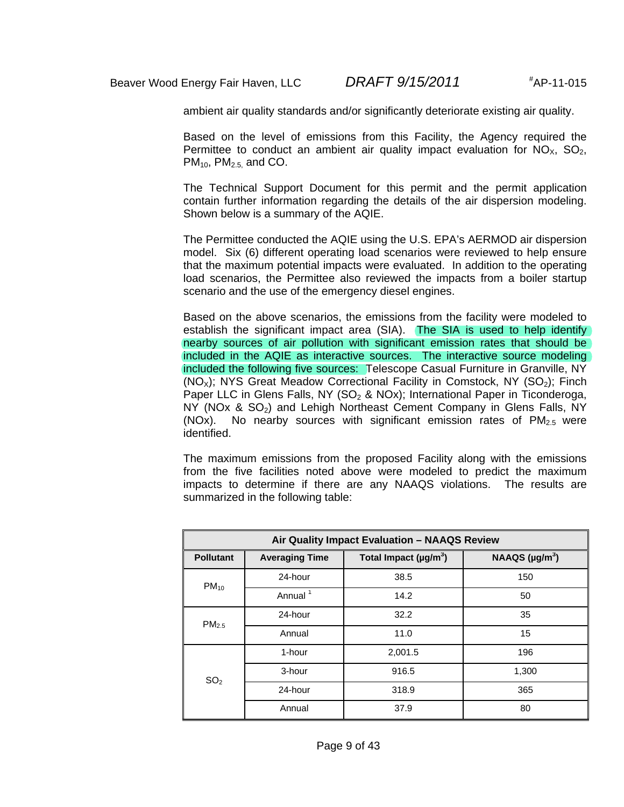ambient air quality standards and/or significantly deteriorate existing air quality.

Based on the level of emissions from this Facility, the Agency required the Permittee to conduct an ambient air quality impact evaluation for  $NO<sub>X</sub>$ ,  $SO<sub>2</sub>$ ,  $PM<sub>10</sub>$ ,  $PM<sub>2.5</sub>$ , and CO.

The Technical Support Document for this permit and the permit application contain further information regarding the details of the air dispersion modeling. Shown below is a summary of the AQIE.

The Permittee conducted the AQIE using the U.S. EPA's AERMOD air dispersion model. Six (6) different operating load scenarios were reviewed to help ensure that the maximum potential impacts were evaluated. In addition to the operating load scenarios, the Permittee also reviewed the impacts from a boiler startup scenario and the use of the emergency diesel engines.

Based on the above scenarios, the emissions from the facility were modeled to establish the significant impact area (SIA). The SIA is used to help identify nearby sources of air pollution with significant emission rates that should be included in the AQIE as interactive sources. The interactive source modeling included the following five sources: Telescope Casual Furniture in Granville, NY  $(NO<sub>x</sub>)$ ; NYS Great Meadow Correctional Facility in Comstock, NY  $(SO<sub>2</sub>)$ ; Finch Paper LLC in Glens Falls, NY (SO<sub>2</sub> & NOx); International Paper in Ticonderoga,  $NY$  (NOx & SO<sub>2</sub>) and Lehigh Northeast Cement Company in Glens Falls, NY (NOx). No nearby sources with significant emission rates of  $PM<sub>2.5</sub>$  were identified.

The maximum emissions from the proposed Facility along with the emissions from the five facilities noted above were modeled to predict the maximum impacts to determine if there are any NAAQS violations. The results are summarized in the following table:

| Air Quality Impact Evaluation - NAAQS Review |                       |                                         |                     |  |  |
|----------------------------------------------|-----------------------|-----------------------------------------|---------------------|--|--|
| <b>Pollutant</b>                             | <b>Averaging Time</b> | Total Impact ( $\mu$ g/m <sup>3</sup> ) | NAAQS $(\mu g/m^3)$ |  |  |
| $PM_{10}$                                    | 24-hour               | 38.5                                    | 150                 |  |  |
|                                              | Annual <sup>1</sup>   | 14.2                                    | 50                  |  |  |
| PM <sub>2.5</sub>                            | 24-hour               | 32.2                                    | 35                  |  |  |
|                                              | Annual                | 11.0                                    | 15                  |  |  |
|                                              | 1-hour                | 2,001.5                                 | 196                 |  |  |
| SO <sub>2</sub>                              | 3-hour                | 916.5                                   | 1,300               |  |  |
|                                              | 24-hour               | 318.9                                   | 365                 |  |  |
|                                              | Annual                | 37.9                                    | 80                  |  |  |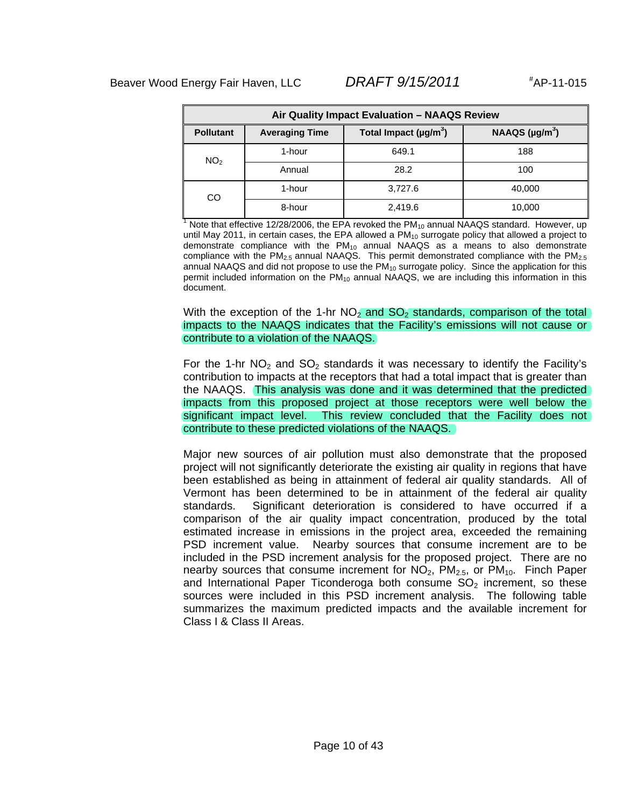| Air Quality Impact Evaluation - NAAQS Review |                                                                                   |         |        |  |  |  |
|----------------------------------------------|-----------------------------------------------------------------------------------|---------|--------|--|--|--|
| <b>Pollutant</b>                             | NAAQS $(\mu g/m^3)$<br>Total Impact (µg/m <sup>3</sup> )<br><b>Averaging Time</b> |         |        |  |  |  |
| NO <sub>2</sub>                              | 1-hour                                                                            | 649.1   | 188    |  |  |  |
|                                              | Annual                                                                            | 28.2    | 100    |  |  |  |
| CO                                           | 1-hour                                                                            | 3,727.6 | 40,000 |  |  |  |
|                                              | 8-hour                                                                            | 2,419.6 | 10,000 |  |  |  |

<sup>1</sup> Note that effective 12/28/2006, the EPA revoked the PM<sub>10</sub> annual NAAQS standard. However, up until May 2011, in certain cases, the EPA allowed a PM<sub>10</sub> surrogate policy that allowed a project to demonstrate compliance with the  $PM_{10}$  annual NAAQS as a means to also demonstrate compliance with the  $PM_{2.5}$  annual NAAQS. This permit demonstrated compliance with the  $PM_{2.5}$ annual NAAQS and did not propose to use the  $PM_{10}$  surrogate policy. Since the application for this permit included information on the  $PM_{10}$  annual NAAQS, we are including this information in this document.

With the exception of the 1-hr  $NO<sub>2</sub>$  and  $SO<sub>2</sub>$  standards, comparison of the total impacts to the NAAQS indicates that the Facility's emissions will not cause or contribute to a violation of the NAAQS.

For the 1-hr  $NO<sub>2</sub>$  and  $SO<sub>2</sub>$  standards it was necessary to identify the Facility's contribution to impacts at the receptors that had a total impact that is greater than the NAAQS. This analysis was done and it was determined that the predicted impacts from this proposed project at those receptors were well below the significant impact level. This review concluded that the Facility does not contribute to these predicted violations of the NAAQS.

Major new sources of air pollution must also demonstrate that the proposed project will not significantly deteriorate the existing air quality in regions that have been established as being in attainment of federal air quality standards. All of Vermont has been determined to be in attainment of the federal air quality standards. Significant deterioration is considered to have occurred if a comparison of the air quality impact concentration, produced by the total estimated increase in emissions in the project area, exceeded the remaining PSD increment value. Nearby sources that consume increment are to be included in the PSD increment analysis for the proposed project. There are no nearby sources that consume increment for  $NO<sub>2</sub>$ ,  $PM<sub>2.5</sub>$ , or  $PM<sub>10</sub>$ . Finch Paper and International Paper Ticonderoga both consume  $SO<sub>2</sub>$  increment, so these sources were included in this PSD increment analysis. The following table summarizes the maximum predicted impacts and the available increment for Class I & Class II Areas.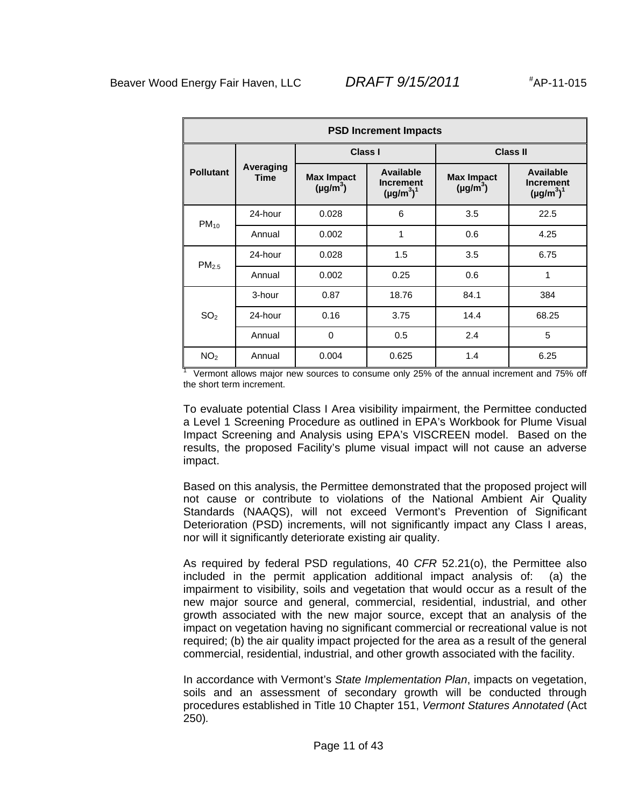| <b>PSD Increment Impacts</b> |                          |                                    |                                                  |                                    |                                                         |  |
|------------------------------|--------------------------|------------------------------------|--------------------------------------------------|------------------------------------|---------------------------------------------------------|--|
|                              |                          | <b>Class I</b>                     |                                                  | Class II                           |                                                         |  |
| <b>Pollutant</b>             | Averaging<br><b>Time</b> | <b>Max Impact</b><br>$(\mu g/m^3)$ | Available<br><b>Increment</b><br>$(\mu g/m^3)^1$ | <b>Max Impact</b><br>$(\mu g/m^3)$ | <b>Available</b><br><b>Increment</b><br>$(\mu g/m^3)^1$ |  |
| $PM_{10}$                    | 24-hour                  | 0.028                              | 6                                                | 3.5                                | 22.5                                                    |  |
|                              | Annual                   | 0.002                              | 1                                                | 0.6                                | 4.25                                                    |  |
| PM <sub>2.5</sub>            | 24-hour                  | 0.028                              | 1.5                                              | 3.5                                | 6.75                                                    |  |
|                              | Annual                   | 0.002                              | 0.25                                             | 0.6                                | 1                                                       |  |
|                              | 3-hour                   | 0.87                               | 18.76                                            | 84.1                               | 384                                                     |  |
| SO <sub>2</sub>              | 24-hour                  | 0.16                               | 3.75                                             | 14.4                               | 68.25                                                   |  |
|                              | Annual                   | $\Omega$                           | 0.5                                              | 2.4                                | 5                                                       |  |
| NO <sub>2</sub>              | Annual                   | 0.004                              | 0.625                                            | 1.4                                | 6.25                                                    |  |

1 Vermont allows major new sources to consume only 25% of the annual increment and 75% off the short term increment.

To evaluate potential Class I Area visibility impairment, the Permittee conducted a Level 1 Screening Procedure as outlined in EPA's Workbook for Plume Visual Impact Screening and Analysis using EPA's VISCREEN model. Based on the results, the proposed Facility's plume visual impact will not cause an adverse impact.

Based on this analysis, the Permittee demonstrated that the proposed project will not cause or contribute to violations of the National Ambient Air Quality Standards (NAAQS), will not exceed Vermont's Prevention of Significant Deterioration (PSD) increments, will not significantly impact any Class I areas, nor will it significantly deteriorate existing air quality.

As required by federal PSD regulations, 40 *CFR* 52.21(o), the Permittee also included in the permit application additional impact analysis of: (a) the impairment to visibility, soils and vegetation that would occur as a result of the new major source and general, commercial, residential, industrial, and other growth associated with the new major source, except that an analysis of the impact on vegetation having no significant commercial or recreational value is not required; (b) the air quality impact projected for the area as a result of the general commercial, residential, industrial, and other growth associated with the facility.

In accordance with Vermont's *State Implementation Plan*, impacts on vegetation, soils and an assessment of secondary growth will be conducted through procedures established in Title 10 Chapter 151, *Vermont Statures Annotated* (Act 250)*.*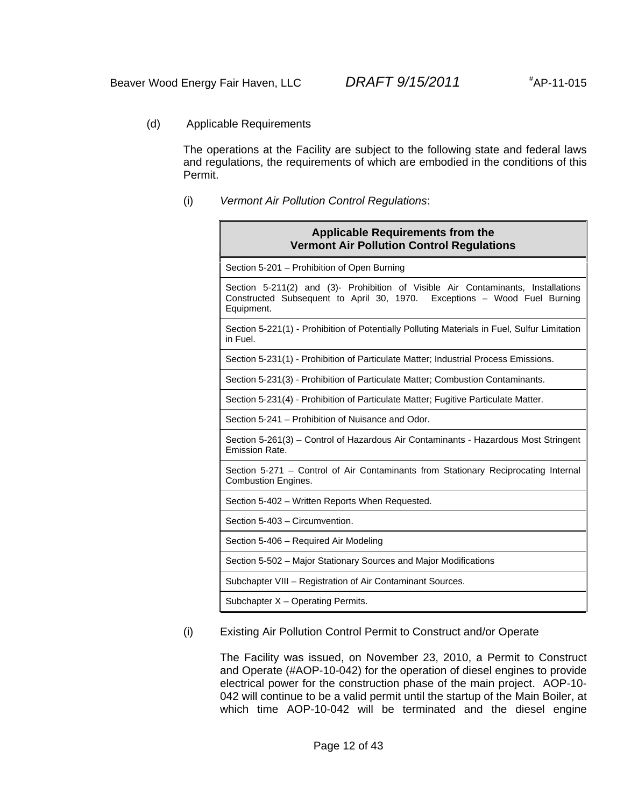(d) Applicable Requirements

The operations at the Facility are subject to the following state and federal laws and regulations, the requirements of which are embodied in the conditions of this Permit.

(i) *Vermont Air Pollution Control Regulations*:

| <b>Applicable Requirements from the</b><br><b>Vermont Air Pollution Control Regulations</b>                                                                                |
|----------------------------------------------------------------------------------------------------------------------------------------------------------------------------|
| Section 5-201 – Prohibition of Open Burning                                                                                                                                |
| Section 5-211(2) and (3)- Prohibition of Visible Air Contaminants, Installations<br>Constructed Subsequent to April 30, 1970. Exceptions - Wood Fuel Burning<br>Equipment. |
| Section 5-221(1) - Prohibition of Potentially Polluting Materials in Fuel, Sulfur Limitation<br>in Fuel.                                                                   |
| Section 5-231(1) - Prohibition of Particulate Matter; Industrial Process Emissions.                                                                                        |
| Section 5-231(3) - Prohibition of Particulate Matter; Combustion Contaminants.                                                                                             |
| Section 5-231(4) - Prohibition of Particulate Matter; Fugitive Particulate Matter.                                                                                         |
| Section 5-241 – Prohibition of Nuisance and Odor.                                                                                                                          |
| Section 5-261(3) – Control of Hazardous Air Contaminants - Hazardous Most Stringent<br>Emission Rate.                                                                      |
| Section 5-271 – Control of Air Contaminants from Stationary Reciprocating Internal<br><b>Combustion Engines.</b>                                                           |
| Section 5-402 - Written Reports When Requested.                                                                                                                            |
| Section 5-403 - Circumvention.                                                                                                                                             |
| Section 5-406 - Required Air Modeling                                                                                                                                      |
| Section 5-502 - Major Stationary Sources and Major Modifications                                                                                                           |
| Subchapter VIII - Registration of Air Contaminant Sources.                                                                                                                 |
| Subchapter X - Operating Permits.                                                                                                                                          |

(i) Existing Air Pollution Control Permit to Construct and/or Operate

The Facility was issued, on November 23, 2010, a Permit to Construct and Operate (#AOP-10-042) for the operation of diesel engines to provide electrical power for the construction phase of the main project. AOP-10- 042 will continue to be a valid permit until the startup of the Main Boiler, at which time AOP-10-042 will be terminated and the diesel engine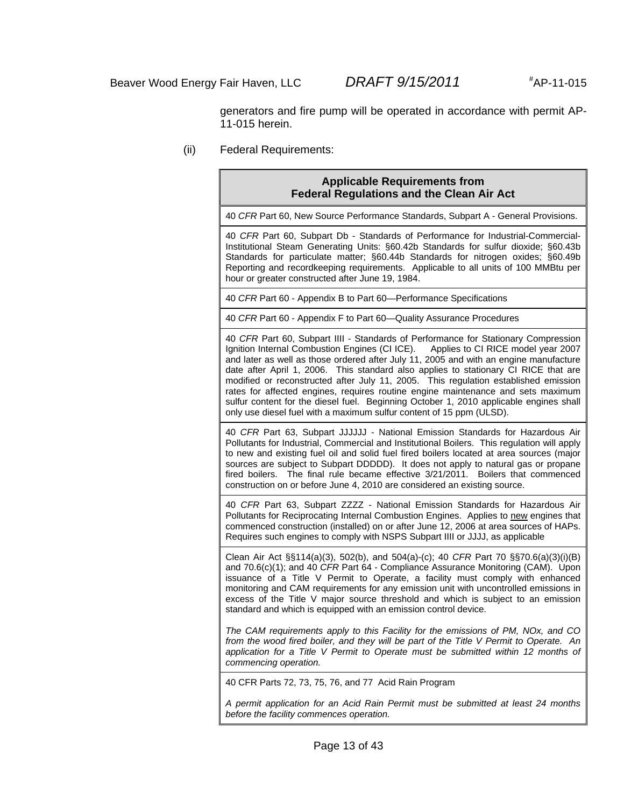generators and fire pump will be operated in accordance with permit AP-11-015 herein.

(ii) Federal Requirements:

#### **Applicable Requirements from Federal Regulations and the Clean Air Act**

40 *CFR* Part 60, New Source Performance Standards, Subpart A - General Provisions.

40 *CFR* Part 60, Subpart Db - Standards of Performance for Industrial-Commercial-Institutional Steam Generating Units: §60.42b Standards for sulfur dioxide; §60.43b Standards for particulate matter; §60.44b Standards for nitrogen oxides; §60.49b Reporting and recordkeeping requirements. Applicable to all units of 100 MMBtu per hour or greater constructed after June 19, 1984.

40 *CFR* Part 60 - Appendix B to Part 60—Performance Specifications

40 *CFR* Part 60 - Appendix F to Part 60—Quality Assurance Procedures

40 *CFR* Part 60, Subpart IIII - Standards of Performance for Stationary Compression Ignition Internal Combustion Engines (CI ICE). Applies to CI RICE model year 2007 and later as well as those ordered after July 11, 2005 and with an engine manufacture date after April 1, 2006. This standard also applies to stationary CI RICE that are modified or reconstructed after July 11, 2005. This regulation established emission rates for affected engines, requires routine engine maintenance and sets maximum sulfur content for the diesel fuel. Beginning October 1, 2010 applicable engines shall only use diesel fuel with a maximum sulfur content of 15 ppm (ULSD).

40 *CFR* Part 63, Subpart JJJJJJ - National Emission Standards for Hazardous Air Pollutants for Industrial, Commercial and Institutional Boilers. This regulation will apply to new and existing fuel oil and solid fuel fired boilers located at area sources (major sources are subject to Subpart DDDDD). It does not apply to natural gas or propane fired boilers. The final rule became effective 3/21/2011. Boilers that commenced construction on or before June 4, 2010 are considered an existing source.

40 *CFR* Part 63, Subpart ZZZZ - National Emission Standards for Hazardous Air Pollutants for Reciprocating Internal Combustion Engines. Applies to new engines that commenced construction (installed) on or after June 12, 2006 at area sources of HAPs. Requires such engines to comply with NSPS Subpart IIII or JJJJ, as applicable

Clean Air Act §§114(a)(3), 502(b), and 504(a)-(c); 40 *CFR* Part 70 §§70.6(a)(3)(i)(B) and 70.6(c)(1); and 40 *CFR* Part 64 - Compliance Assurance Monitoring (CAM). Upon issuance of a Title V Permit to Operate, a facility must comply with enhanced monitoring and CAM requirements for any emission unit with uncontrolled emissions in excess of the Title V major source threshold and which is subject to an emission standard and which is equipped with an emission control device.

*The CAM requirements apply to this Facility for the emissions of PM, NOx, and CO from the wood fired boiler, and they will be part of the Title V Permit to Operate. An application for a Title V Permit to Operate must be submitted within 12 months of commencing operation.* 

40 CFR Parts 72, 73, 75, 76, and 77 Acid Rain Program

*A permit application for an Acid Rain Permit must be submitted at least 24 months before the facility commences operation.*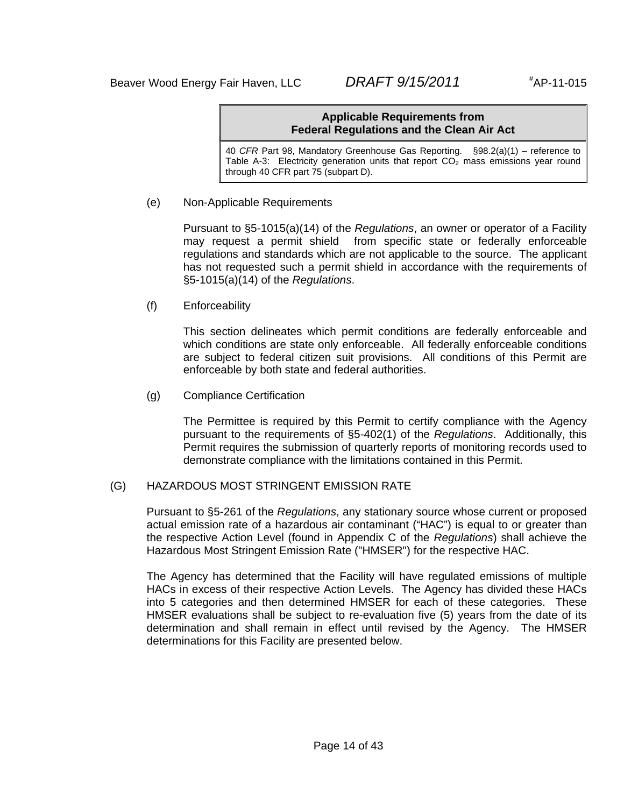#### **Applicable Requirements from Federal Regulations and the Clean Air Act**

40 *CFR* Part 98, Mandatory Greenhouse Gas Reporting. §98.2(a)(1) – reference to Table A-3: Electricity generation units that report  $CO<sub>2</sub>$  mass emissions year round through 40 CFR part 75 (subpart D).

(e) Non-Applicable Requirements

Pursuant to §5-1015(a)(14) of the *Regulations*, an owner or operator of a Facility may request a permit shield from specific state or federally enforceable regulations and standards which are not applicable to the source. The applicant has not requested such a permit shield in accordance with the requirements of §5-1015(a)(14) of the *Regulations*.

(f) Enforceability

This section delineates which permit conditions are federally enforceable and which conditions are state only enforceable. All federally enforceable conditions are subject to federal citizen suit provisions. All conditions of this Permit are enforceable by both state and federal authorities.

(g) Compliance Certification

The Permittee is required by this Permit to certify compliance with the Agency pursuant to the requirements of §5-402(1) of the *Regulations*. Additionally, this Permit requires the submission of quarterly reports of monitoring records used to demonstrate compliance with the limitations contained in this Permit.

### (G) HAZARDOUS MOST STRINGENT EMISSION RATE

Pursuant to §5-261 of the *Regulations*, any stationary source whose current or proposed actual emission rate of a hazardous air contaminant ("HAC") is equal to or greater than the respective Action Level (found in Appendix C of the *Regulations*) shall achieve the Hazardous Most Stringent Emission Rate ("HMSER") for the respective HAC.

The Agency has determined that the Facility will have regulated emissions of multiple HACs in excess of their respective Action Levels. The Agency has divided these HACs into 5 categories and then determined HMSER for each of these categories. These HMSER evaluations shall be subject to re-evaluation five (5) years from the date of its determination and shall remain in effect until revised by the Agency. The HMSER determinations for this Facility are presented below.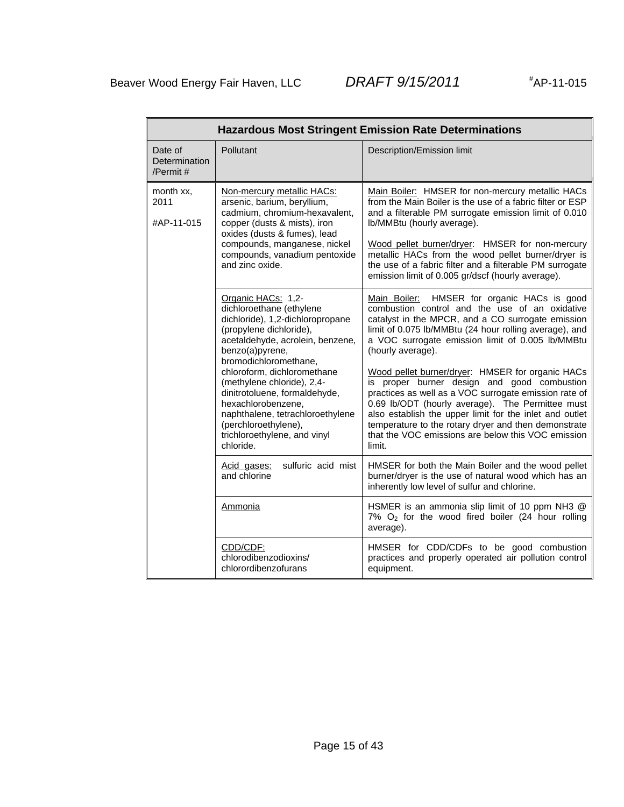AP-11-015

|                                         | <b>Hazardous Most Stringent Emission Rate Determinations</b>                                                                                                                                                                                                                                                                                                                                                               |                                                                                                                                                                                                                                                                                                                                                                                                                                                                                                                                                                                                                                                                                             |  |  |  |  |
|-----------------------------------------|----------------------------------------------------------------------------------------------------------------------------------------------------------------------------------------------------------------------------------------------------------------------------------------------------------------------------------------------------------------------------------------------------------------------------|---------------------------------------------------------------------------------------------------------------------------------------------------------------------------------------------------------------------------------------------------------------------------------------------------------------------------------------------------------------------------------------------------------------------------------------------------------------------------------------------------------------------------------------------------------------------------------------------------------------------------------------------------------------------------------------------|--|--|--|--|
| Date of<br>Determination<br>/Permit $#$ | Pollutant                                                                                                                                                                                                                                                                                                                                                                                                                  | Description/Emission limit                                                                                                                                                                                                                                                                                                                                                                                                                                                                                                                                                                                                                                                                  |  |  |  |  |
| month xx,<br>2011<br>#AP-11-015         | Non-mercury metallic HACs:<br>arsenic, barium, beryllium,<br>cadmium, chromium-hexavalent,<br>copper (dusts & mists), iron<br>oxides (dusts & fumes), lead<br>compounds, manganese, nickel<br>compounds, vanadium pentoxide<br>and zinc oxide.                                                                                                                                                                             | Main Boiler: HMSER for non-mercury metallic HACs<br>from the Main Boiler is the use of a fabric filter or ESP<br>and a filterable PM surrogate emission limit of 0.010<br>Ib/MMBtu (hourly average).<br>Wood pellet burner/dryer: HMSER for non-mercury<br>metallic HACs from the wood pellet burner/dryer is<br>the use of a fabric filter and a filterable PM surrogate<br>emission limit of 0.005 gr/dscf (hourly average).                                                                                                                                                                                                                                                              |  |  |  |  |
|                                         | Organic HACs: 1,2-<br>dichloroethane (ethylene<br>dichloride), 1,2-dichloropropane<br>(propylene dichloride),<br>acetaldehyde, acrolein, benzene,<br>benzo(a)pyrene,<br>bromodichloromethane.<br>chloroform, dichloromethane<br>(methylene chloride), 2,4-<br>dinitrotoluene, formaldehyde,<br>hexachlorobenzene,<br>naphthalene, tetrachloroethylene<br>(perchloroethylene),<br>trichloroethylene, and vinyl<br>chloride. | HMSER for organic HACs is good<br>Main Boiler:<br>combustion control and the use of an oxidative<br>catalyst in the MPCR, and a CO surrogate emission<br>limit of 0.075 lb/MMBtu (24 hour rolling average), and<br>a VOC surrogate emission limit of 0.005 lb/MMBtu<br>(hourly average).<br>Wood pellet burner/dryer: HMSER for organic HACs<br>is proper burner design and good combustion<br>practices as well as a VOC surrogate emission rate of<br>0.69 lb/ODT (hourly average). The Permittee must<br>also establish the upper limit for the inlet and outlet<br>temperature to the rotary dryer and then demonstrate<br>that the VOC emissions are below this VOC emission<br>limit. |  |  |  |  |
|                                         | sulfuric acid mist<br>Acid gases:<br>and chlorine                                                                                                                                                                                                                                                                                                                                                                          | HMSER for both the Main Boiler and the wood pellet<br>burner/dryer is the use of natural wood which has an<br>inherently low level of sulfur and chlorine.                                                                                                                                                                                                                                                                                                                                                                                                                                                                                                                                  |  |  |  |  |
|                                         | Ammonia                                                                                                                                                                                                                                                                                                                                                                                                                    | HSMER is an ammonia slip limit of 10 ppm NH3 @<br>$7\%$ O <sub>2</sub> for the wood fired boiler (24 hour rolling<br>average).                                                                                                                                                                                                                                                                                                                                                                                                                                                                                                                                                              |  |  |  |  |
|                                         | CDD/CDF:<br>chlorodibenzodioxins/<br>chlorordibenzofurans                                                                                                                                                                                                                                                                                                                                                                  | HMSER for CDD/CDFs to be good combustion<br>practices and properly operated air pollution control<br>equipment.                                                                                                                                                                                                                                                                                                                                                                                                                                                                                                                                                                             |  |  |  |  |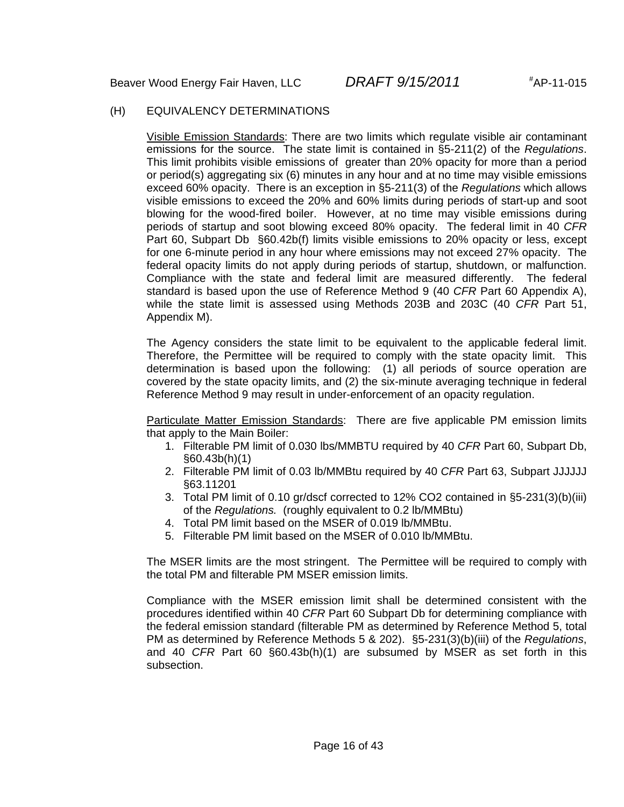#### (H) EQUIVALENCY DETERMINATIONS

Visible Emission Standards: There are two limits which regulate visible air contaminant emissions for the source. The state limit is contained in §5-211(2) of the *Regulations*. This limit prohibits visible emissions of greater than 20% opacity for more than a period or period(s) aggregating six (6) minutes in any hour and at no time may visible emissions exceed 60% opacity. There is an exception in §5-211(3) of the *Regulations* which allows visible emissions to exceed the 20% and 60% limits during periods of start-up and soot blowing for the wood-fired boiler. However, at no time may visible emissions during periods of startup and soot blowing exceed 80% opacity. The federal limit in 40 *CFR* Part 60, Subpart Db §60.42b(f) limits visible emissions to 20% opacity or less, except for one 6-minute period in any hour where emissions may not exceed 27% opacity. The federal opacity limits do not apply during periods of startup, shutdown, or malfunction. Compliance with the state and federal limit are measured differently. The federal standard is based upon the use of Reference Method 9 (40 *CFR* Part 60 Appendix A), while the state limit is assessed using Methods 203B and 203C (40 *CFR* Part 51, Appendix M).

The Agency considers the state limit to be equivalent to the applicable federal limit. Therefore, the Permittee will be required to comply with the state opacity limit. This determination is based upon the following: (1) all periods of source operation are covered by the state opacity limits, and (2) the six-minute averaging technique in federal Reference Method 9 may result in under-enforcement of an opacity regulation.

Particulate Matter Emission Standards: There are five applicable PM emission limits that apply to the Main Boiler:

- 1. Filterable PM limit of 0.030 lbs/MMBTU required by 40 *CFR* Part 60, Subpart Db, §60.43b(h)(1)
- 2. Filterable PM limit of 0.03 lb/MMBtu required by 40 *CFR* Part 63, Subpart JJJJJJ §63.11201
- 3. Total PM limit of 0.10 gr/dscf corrected to 12% CO2 contained in §5-231(3)(b)(iii) of the *Regulations.* (roughly equivalent to 0.2 lb/MMBtu)
- 4. Total PM limit based on the MSER of 0.019 lb/MMBtu.
- 5. Filterable PM limit based on the MSER of 0.010 lb/MMBtu.

The MSER limits are the most stringent. The Permittee will be required to comply with the total PM and filterable PM MSER emission limits.

Compliance with the MSER emission limit shall be determined consistent with the procedures identified within 40 *CFR* Part 60 Subpart Db for determining compliance with the federal emission standard (filterable PM as determined by Reference Method 5, total PM as determined by Reference Methods 5 & 202). §5-231(3)(b)(iii) of the *Regulations*, and 40 *CFR* Part 60 §60.43b(h)(1) are subsumed by MSER as set forth in this subsection.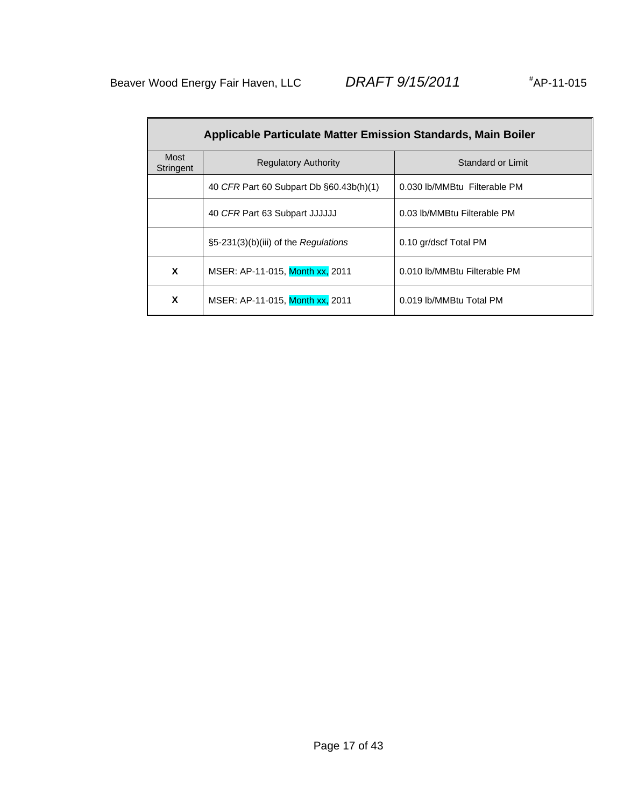| <b>Applicable Particulate Matter Emission Standards, Main Boiler</b> |                                         |                              |  |  |
|----------------------------------------------------------------------|-----------------------------------------|------------------------------|--|--|
| Most<br>Stringent                                                    | <b>Regulatory Authority</b>             | Standard or Limit            |  |  |
|                                                                      | 40 CFR Part 60 Subpart Db §60.43b(h)(1) | 0.030 lb/MMBtu Filterable PM |  |  |
|                                                                      | 40 CFR Part 63 Subpart JJJJJJJ          | 0.03 lb/MMBtu Filterable PM  |  |  |
|                                                                      | $\S5-231(3)(b)(iii)$ of the Regulations | 0.10 gr/dscf Total PM        |  |  |
| X                                                                    | MSER: AP-11-015, Month xx, 2011         | 0.010 lb/MMBtu Filterable PM |  |  |
| X                                                                    | MSER: AP-11-015, Month xx, 2011         | 0.019 lb/MMBtu Total PM      |  |  |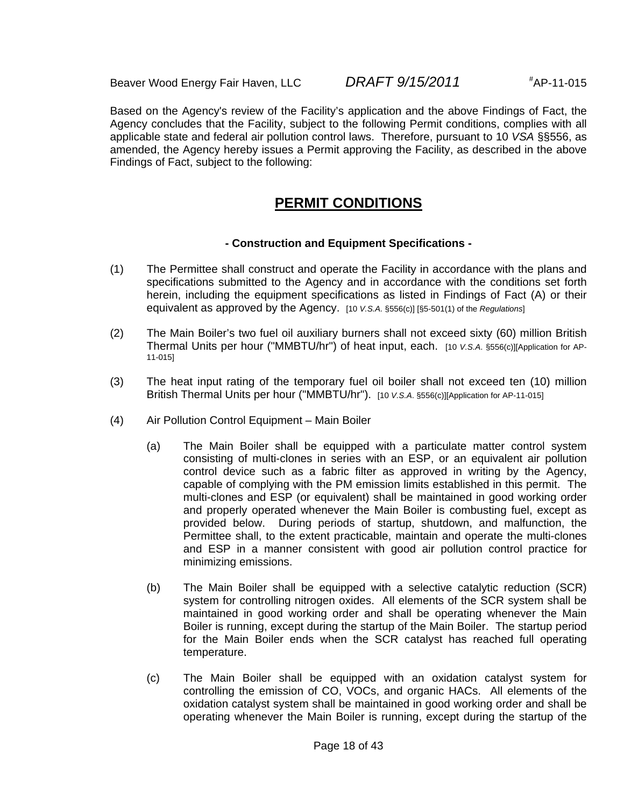$*AP-11-015$ 

Based on the Agency's review of the Facility's application and the above Findings of Fact, the Agency concludes that the Facility, subject to the following Permit conditions, complies with all applicable state and federal air pollution control laws. Therefore, pursuant to 10 *VSA* §§556, as amended, the Agency hereby issues a Permit approving the Facility, as described in the above Findings of Fact, subject to the following:

# **PERMIT CONDITIONS**

### **- Construction and Equipment Specifications -**

- (1) The Permittee shall construct and operate the Facility in accordance with the plans and specifications submitted to the Agency and in accordance with the conditions set forth herein, including the equipment specifications as listed in Findings of Fact (A) or their equivalent as approved by the Agency. [10 *V.S.A.* §556(c)] [§5-501(1) of the *Regulations*]
- (2) The Main Boiler's two fuel oil auxiliary burners shall not exceed sixty (60) million British Thermal Units per hour ("MMBTU/hr") of heat input, each. [10 *V.S.A*. §556(c)][Application for AP-11-015]
- (3) The heat input rating of the temporary fuel oil boiler shall not exceed ten (10) million British Thermal Units per hour ("MMBTU/hr"). [10 *V.S.A*. §556(c)][Application for AP-11-015]
- (4) Air Pollution Control Equipment Main Boiler
	- (a) The Main Boiler shall be equipped with a particulate matter control system consisting of multi-clones in series with an ESP, or an equivalent air pollution control device such as a fabric filter as approved in writing by the Agency, capable of complying with the PM emission limits established in this permit. The multi-clones and ESP (or equivalent) shall be maintained in good working order and properly operated whenever the Main Boiler is combusting fuel, except as provided below. During periods of startup, shutdown, and malfunction, the Permittee shall, to the extent practicable, maintain and operate the multi-clones and ESP in a manner consistent with good air pollution control practice for minimizing emissions.
	- (b) The Main Boiler shall be equipped with a selective catalytic reduction (SCR) system for controlling nitrogen oxides. All elements of the SCR system shall be maintained in good working order and shall be operating whenever the Main Boiler is running, except during the startup of the Main Boiler. The startup period for the Main Boiler ends when the SCR catalyst has reached full operating temperature.
	- (c) The Main Boiler shall be equipped with an oxidation catalyst system for controlling the emission of CO, VOCs, and organic HACs. All elements of the oxidation catalyst system shall be maintained in good working order and shall be operating whenever the Main Boiler is running, except during the startup of the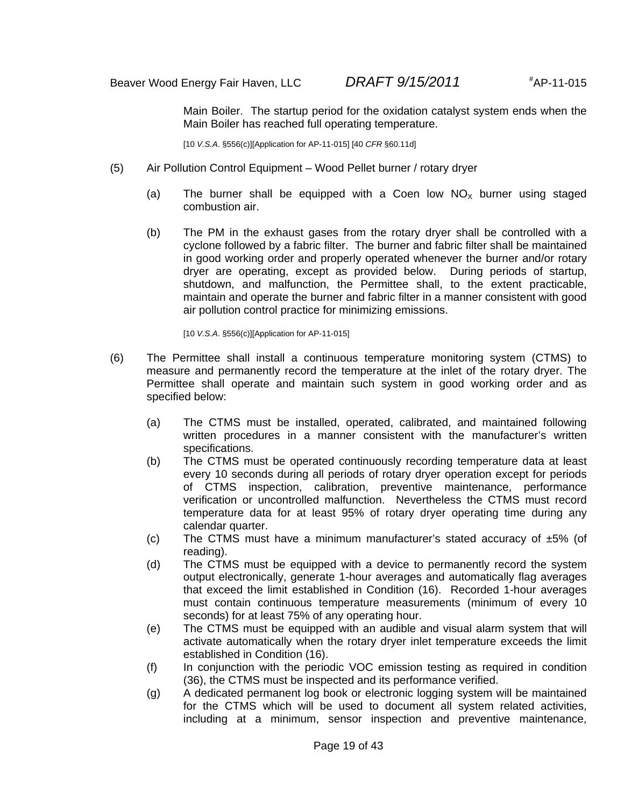Main Boiler. The startup period for the oxidation catalyst system ends when the Main Boiler has reached full operating temperature.

[10 *V.S.A*. §556(c)][Application for AP-11-015] [40 *CFR* §60.11d]

- (5) Air Pollution Control Equipment Wood Pellet burner / rotary dryer
	- (a) The burner shall be equipped with a Coen low  $NO<sub>x</sub>$  burner using staged combustion air.
	- (b) The PM in the exhaust gases from the rotary dryer shall be controlled with a cyclone followed by a fabric filter. The burner and fabric filter shall be maintained in good working order and properly operated whenever the burner and/or rotary dryer are operating, except as provided below. During periods of startup, shutdown, and malfunction, the Permittee shall, to the extent practicable, maintain and operate the burner and fabric filter in a manner consistent with good air pollution control practice for minimizing emissions.

[10 *V.S.A*. §556(c)][Application for AP-11-015]

- (6) The Permittee shall install a continuous temperature monitoring system (CTMS) to measure and permanently record the temperature at the inlet of the rotary dryer. The Permittee shall operate and maintain such system in good working order and as specified below:
	- (a) The CTMS must be installed, operated, calibrated, and maintained following written procedures in a manner consistent with the manufacturer's written specifications.
	- (b) The CTMS must be operated continuously recording temperature data at least every 10 seconds during all periods of rotary dryer operation except for periods of CTMS inspection, calibration, preventive maintenance, performance verification or uncontrolled malfunction. Nevertheless the CTMS must record temperature data for at least 95% of rotary dryer operating time during any calendar quarter.
	- (c) The CTMS must have a minimum manufacturer's stated accuracy of  $\pm 5\%$  (of reading).
	- (d) The CTMS must be equipped with a device to permanently record the system output electronically, generate 1-hour averages and automatically flag averages that exceed the limit established in Condition (16). Recorded 1-hour averages must contain continuous temperature measurements (minimum of every 10 seconds) for at least 75% of any operating hour.
	- (e) The CTMS must be equipped with an audible and visual alarm system that will activate automatically when the rotary dryer inlet temperature exceeds the limit established in Condition (16).
	- (f) In conjunction with the periodic VOC emission testing as required in condition (36), the CTMS must be inspected and its performance verified.
	- (g) A dedicated permanent log book or electronic logging system will be maintained for the CTMS which will be used to document all system related activities, including at a minimum, sensor inspection and preventive maintenance,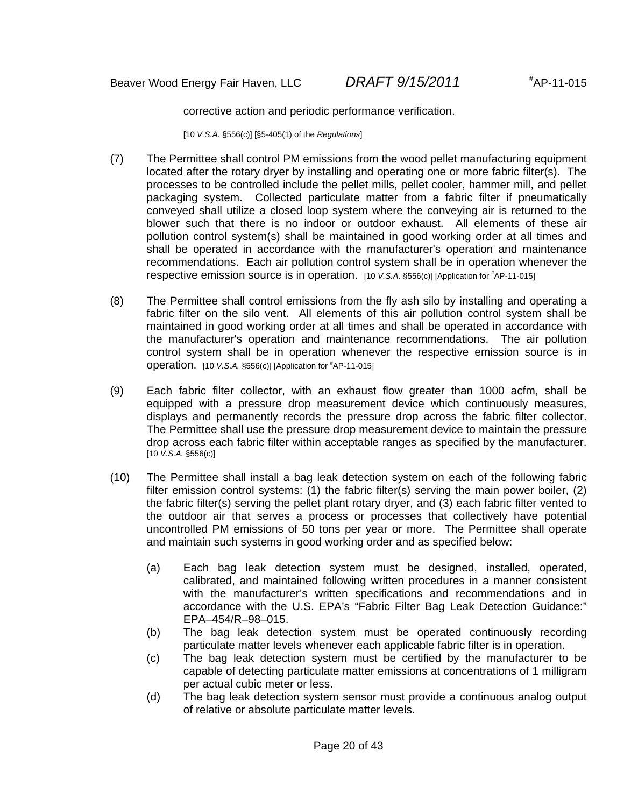corrective action and periodic performance verification.

[10 *V.S.A*. §556(c)] [§5-405(1) of the *Regulations*]

- (7) The Permittee shall control PM emissions from the wood pellet manufacturing equipment located after the rotary dryer by installing and operating one or more fabric filter(s). The processes to be controlled include the pellet mills, pellet cooler, hammer mill, and pellet packaging system. Collected particulate matter from a fabric filter if pneumatically conveyed shall utilize a closed loop system where the conveying air is returned to the blower such that there is no indoor or outdoor exhaust. All elements of these air pollution control system(s) shall be maintained in good working order at all times and shall be operated in accordance with the manufacturer's operation and maintenance recommendations. Each air pollution control system shall be in operation whenever the respective emission source is in operation. [10 V.S.A. §556(c)] [Application for #AP-11-015]
- (8) The Permittee shall control emissions from the fly ash silo by installing and operating a fabric filter on the silo vent. All elements of this air pollution control system shall be maintained in good working order at all times and shall be operated in accordance with the manufacturer's operation and maintenance recommendations. The air pollution control system shall be in operation whenever the respective emission source is in operation. [10 *V.S.A.* §556(c)] [Application for # AP-11-015]
- (9) Each fabric filter collector, with an exhaust flow greater than 1000 acfm, shall be equipped with a pressure drop measurement device which continuously measures, displays and permanently records the pressure drop across the fabric filter collector. The Permittee shall use the pressure drop measurement device to maintain the pressure drop across each fabric filter within acceptable ranges as specified by the manufacturer. [10 *V.S.A.* §556(c)]
- (10) The Permittee shall install a bag leak detection system on each of the following fabric filter emission control systems: (1) the fabric filter(s) serving the main power boiler, (2) the fabric filter(s) serving the pellet plant rotary dryer, and (3) each fabric filter vented to the outdoor air that serves a process or processes that collectively have potential uncontrolled PM emissions of 50 tons per year or more. The Permittee shall operate and maintain such systems in good working order and as specified below:
	- (a) Each bag leak detection system must be designed, installed, operated, calibrated, and maintained following written procedures in a manner consistent with the manufacturer's written specifications and recommendations and in accordance with the U.S. EPA's "Fabric Filter Bag Leak Detection Guidance:" EPA–454/R–98–015.
	- (b) The bag leak detection system must be operated continuously recording particulate matter levels whenever each applicable fabric filter is in operation.
	- (c) The bag leak detection system must be certified by the manufacturer to be capable of detecting particulate matter emissions at concentrations of 1 milligram per actual cubic meter or less.
	- (d) The bag leak detection system sensor must provide a continuous analog output of relative or absolute particulate matter levels.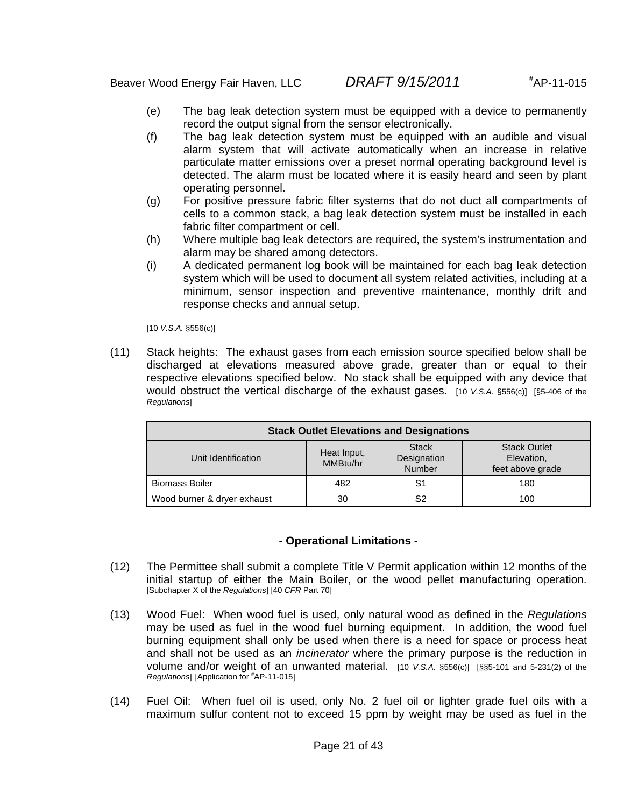- (e) The bag leak detection system must be equipped with a device to permanently record the output signal from the sensor electronically.
- (f) The bag leak detection system must be equipped with an audible and visual alarm system that will activate automatically when an increase in relative particulate matter emissions over a preset normal operating background level is detected. The alarm must be located where it is easily heard and seen by plant operating personnel.
- (g) For positive pressure fabric filter systems that do not duct all compartments of cells to a common stack, a bag leak detection system must be installed in each fabric filter compartment or cell.
- (h) Where multiple bag leak detectors are required, the system's instrumentation and alarm may be shared among detectors.
- (i) A dedicated permanent log book will be maintained for each bag leak detection system which will be used to document all system related activities, including at a minimum, sensor inspection and preventive maintenance, monthly drift and response checks and annual setup.

[10 *V.S.A.* §556(c)]

(11) Stack heights: The exhaust gases from each emission source specified below shall be discharged at elevations measured above grade, greater than or equal to their respective elevations specified below. No stack shall be equipped with any device that would obstruct the vertical discharge of the exhaust gases. [10 *V.S.A.* §556(c)] [§5-406 of the *Regulations*]

| <b>Stack Outlet Elevations and Designations</b>                                                                                                  |     |    |     |  |  |
|--------------------------------------------------------------------------------------------------------------------------------------------------|-----|----|-----|--|--|
| <b>Stack Outlet</b><br><b>Stack</b><br>Heat Input,<br>Designation<br>Unit Identification<br>Elevation,<br>MMBtu/hr<br>Number<br>feet above grade |     |    |     |  |  |
| <b>Biomass Boiler</b>                                                                                                                            | 482 | S1 | 180 |  |  |
| Wood burner & dryer exhaust                                                                                                                      | 30  | S2 | 100 |  |  |

#### **- Operational Limitations -**

- (12) The Permittee shall submit a complete Title V Permit application within 12 months of the initial startup of either the Main Boiler, or the wood pellet manufacturing operation. [Subchapter X of the *Regulations*] [40 *CFR* Part 70]
- (13) Wood Fuel: When wood fuel is used, only natural wood as defined in the *Regulations* may be used as fuel in the wood fuel burning equipment. In addition, the wood fuel burning equipment shall only be used when there is a need for space or process heat and shall not be used as an *incinerator* where the primary purpose is the reduction in volume and/or weight of an unwanted material. [10 *V.S.A.* §556(c)] [§§5-101 and 5-231(2) of the *Regulations*] [Application for # AP-11-015]
- (14) Fuel Oil: When fuel oil is used, only No. 2 fuel oil or lighter grade fuel oils with a maximum sulfur content not to exceed 15 ppm by weight may be used as fuel in the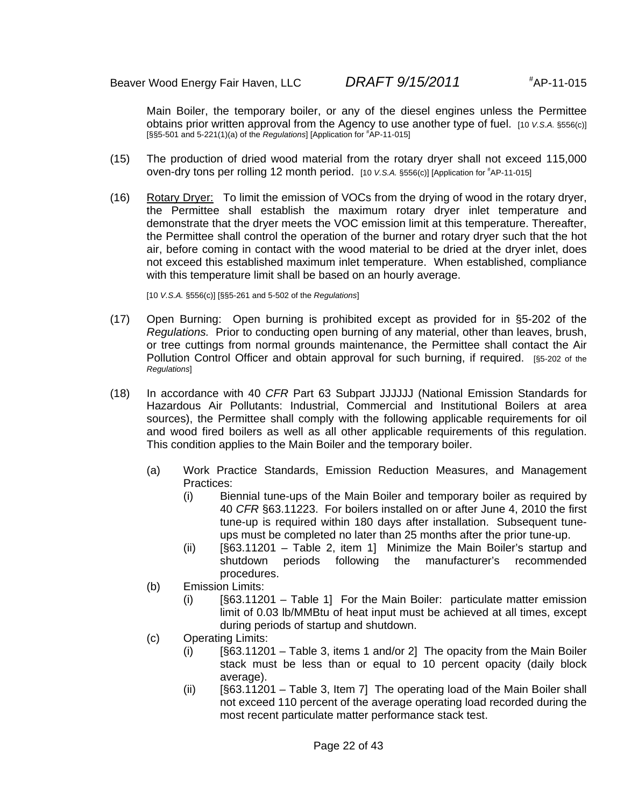Main Boiler, the temporary boiler, or any of the diesel engines unless the Permittee obtains prior written approval from the Agency to use another type of fuel. [10 *V.S.A.* §556(c)] [§§5-501 and 5-221(1)(a) of the *Regulations*] [Application for # AP-11-015]

- (15) The production of dried wood material from the rotary dryer shall not exceed 115,000 oven-dry tons per rolling 12 month period. [10 V.S.A. §556(c)] [Application for #AP-11-015]
- (16) Rotary Dryer: To limit the emission of VOCs from the drying of wood in the rotary dryer, the Permittee shall establish the maximum rotary dryer inlet temperature and demonstrate that the dryer meets the VOC emission limit at this temperature. Thereafter, the Permittee shall control the operation of the burner and rotary dryer such that the hot air, before coming in contact with the wood material to be dried at the dryer inlet, does not exceed this established maximum inlet temperature. When established, compliance with this temperature limit shall be based on an hourly average.

[10 *V.S.A.* §556(c)] [§§5-261 and 5-502 of the *Regulations*]

- (17) Open Burning: Open burning is prohibited except as provided for in §5-202 of the *Regulations.* Prior to conducting open burning of any material, other than leaves, brush, or tree cuttings from normal grounds maintenance, the Permittee shall contact the Air Pollution Control Officer and obtain approval for such burning, if required. [§5-202 of the *Regulations*]
- (18) In accordance with 40 *CFR* Part 63 Subpart JJJJJJ (National Emission Standards for Hazardous Air Pollutants: Industrial, Commercial and Institutional Boilers at area sources), the Permittee shall comply with the following applicable requirements for oil and wood fired boilers as well as all other applicable requirements of this regulation. This condition applies to the Main Boiler and the temporary boiler.
	- (a) Work Practice Standards, Emission Reduction Measures, and Management Practices:
		- (i) Biennial tune-ups of the Main Boiler and temporary boiler as required by 40 *CFR* §63.11223. For boilers installed on or after June 4, 2010 the first tune-up is required within 180 days after installation. Subsequent tuneups must be completed no later than 25 months after the prior tune-up.
		- (ii) [§63.11201 Table 2, item 1] Minimize the Main Boiler's startup and shutdown periods following the manufacturer's recommended procedures.
	- (b) Emission Limits:
		- (i) [§63.11201 Table 1] For the Main Boiler: particulate matter emission limit of 0.03 lb/MMBtu of heat input must be achieved at all times, except during periods of startup and shutdown.
	- (c) Operating Limits:
		- (i) [§63.11201 Table 3, items 1 and/or 2] The opacity from the Main Boiler stack must be less than or equal to 10 percent opacity (daily block average).
		- (ii) [§63.11201 Table 3, Item 7] The operating load of the Main Boiler shall not exceed 110 percent of the average operating load recorded during the most recent particulate matter performance stack test.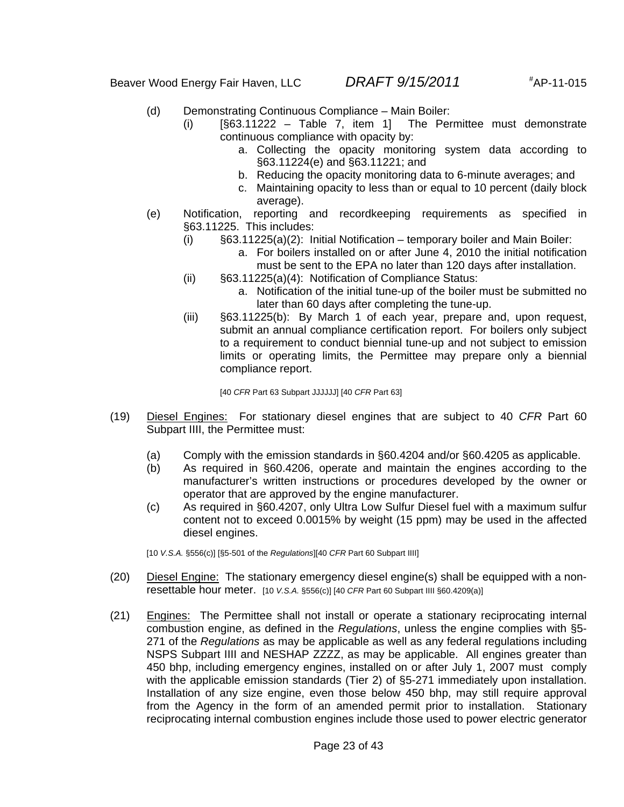- (d) Demonstrating Continuous Compliance Main Boiler:
	- $(i)$  [§63.11222 Table 7, item 1] The Permittee must demonstrate continuous compliance with opacity by:
		- a. Collecting the opacity monitoring system data according to §63.11224(e) and §63.11221; and
		- b. Reducing the opacity monitoring data to 6-minute averages; and
		- c. Maintaining opacity to less than or equal to 10 percent (daily block average).
- (e) Notification, reporting and recordkeeping requirements as specified in §63.11225. This includes:
	- (i)  $\S63.11225(a)(2)$ : Initial Notification temporary boiler and Main Boiler:
		- a. For boilers installed on or after June 4, 2010 the initial notification must be sent to the EPA no later than 120 days after installation.
	- (ii) §63.11225(a)(4): Notification of Compliance Status:
		- a. Notification of the initial tune-up of the boiler must be submitted no later than 60 days after completing the tune-up.
	- (iii) §63.11225(b): By March 1 of each year, prepare and, upon request, submit an annual compliance certification report. For boilers only subject to a requirement to conduct biennial tune-up and not subject to emission limits or operating limits, the Permittee may prepare only a biennial compliance report.

[40 *CFR* Part 63 Subpart JJJJJJ] [40 *CFR* Part 63]

- (19) Diesel Engines: For stationary diesel engines that are subject to 40 *CFR* Part 60 Subpart IIII, the Permittee must:
	- (a) Comply with the emission standards in §60.4204 and/or §60.4205 as applicable.
	- (b) As required in §60.4206, operate and maintain the engines according to the manufacturer's written instructions or procedures developed by the owner or operator that are approved by the engine manufacturer.
	- (c) As required in §60.4207, only Ultra Low Sulfur Diesel fuel with a maximum sulfur content not to exceed 0.0015% by weight (15 ppm) may be used in the affected diesel engines.

[10 *V.S.A.* §556(c)] [§5-501 of the *Regulations*][40 *CFR* Part 60 Subpart IIII]

- (20) Diesel Engine: The stationary emergency diesel engine(s) shall be equipped with a nonresettable hour meter. [10 *V.S.A.* §556(c)] [40 *CFR* Part 60 Subpart IIII §60.4209(a)]
- (21) Engines: The Permittee shall not install or operate a stationary reciprocating internal combustion engine, as defined in the *Regulations*, unless the engine complies with §5- 271 of the *Regulations* as may be applicable as well as any federal regulations including NSPS Subpart IIII and NESHAP ZZZZ, as may be applicable. All engines greater than 450 bhp, including emergency engines, installed on or after July 1, 2007 must comply with the applicable emission standards (Tier 2) of §5-271 immediately upon installation. Installation of any size engine, even those below 450 bhp, may still require approval from the Agency in the form of an amended permit prior to installation. Stationary reciprocating internal combustion engines include those used to power electric generator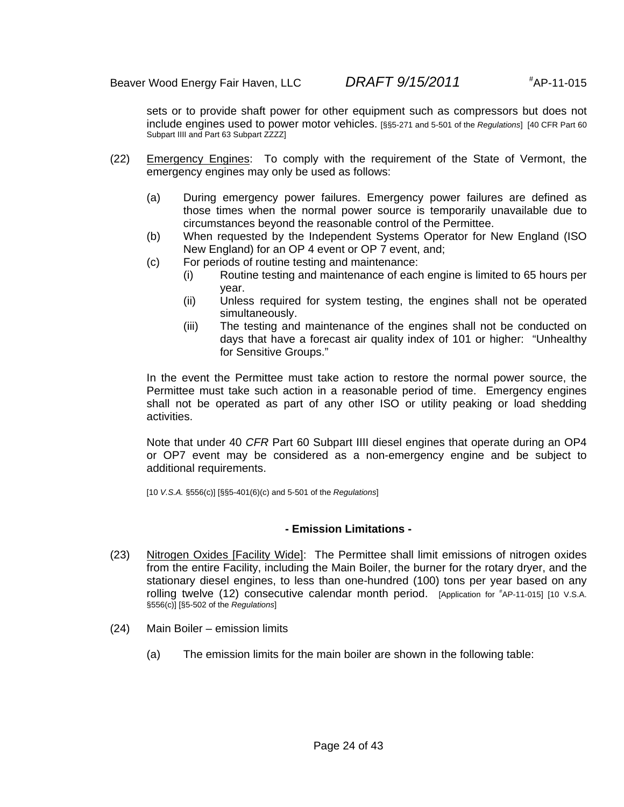sets or to provide shaft power for other equipment such as compressors but does not include engines used to power motor vehicles. [§§5-271 and 5-501 of the *Regulations*] [40 CFR Part 60 Subpart IIII and Part 63 Subpart ZZZZ]

- (22) Emergency Engines: To comply with the requirement of the State of Vermont, the emergency engines may only be used as follows:
	- (a) During emergency power failures. Emergency power failures are defined as those times when the normal power source is temporarily unavailable due to circumstances beyond the reasonable control of the Permittee.
	- (b) When requested by the Independent Systems Operator for New England (ISO New England) for an OP 4 event or OP 7 event, and;
	- (c) For periods of routine testing and maintenance:
		- (i) Routine testing and maintenance of each engine is limited to 65 hours per year.
		- (ii) Unless required for system testing, the engines shall not be operated simultaneously.
		- (iii) The testing and maintenance of the engines shall not be conducted on days that have a forecast air quality index of 101 or higher: "Unhealthy for Sensitive Groups."

In the event the Permittee must take action to restore the normal power source, the Permittee must take such action in a reasonable period of time. Emergency engines shall not be operated as part of any other ISO or utility peaking or load shedding activities.

Note that under 40 *CFR* Part 60 Subpart IIII diesel engines that operate during an OP4 or OP7 event may be considered as a non-emergency engine and be subject to additional requirements.

[10 *V.S.A.* §556(c)] [§§5-401(6)(c) and 5-501 of the *Regulations*]

#### **- Emission Limitations -**

- (23) Nitrogen Oxides [Facility Wide]: The Permittee shall limit emissions of nitrogen oxides from the entire Facility, including the Main Boiler, the burner for the rotary dryer, and the stationary diesel engines, to less than one-hundred (100) tons per year based on any rolling twelve (12) consecutive calendar month period. [Application for #AP-11-015] [10 V.S.A. §556(c)] [§5-502 of the *Regulations*]
- (24) Main Boiler emission limits
	- (a) The emission limits for the main boiler are shown in the following table: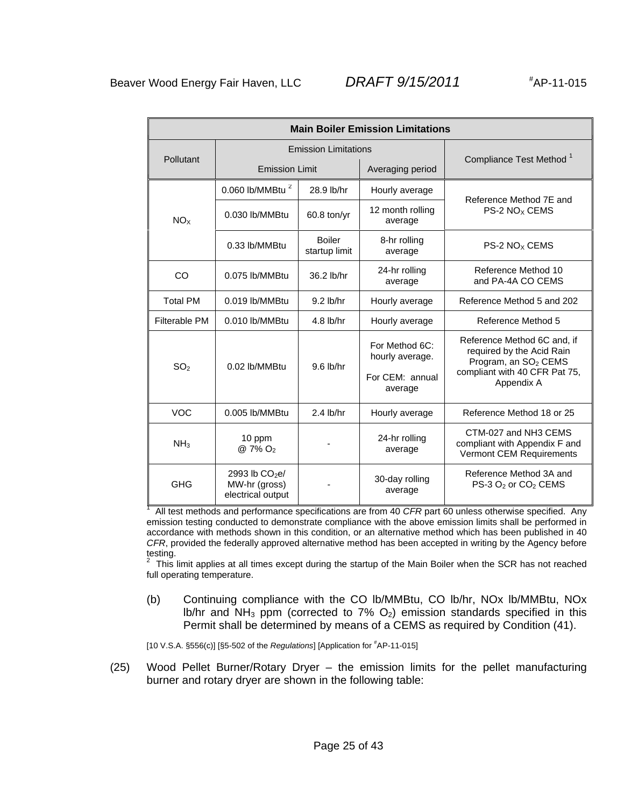| <b>Main Boiler Emission Limitations</b> |                                                       |                                |                                                                 |                                                                                                                                             |  |
|-----------------------------------------|-------------------------------------------------------|--------------------------------|-----------------------------------------------------------------|---------------------------------------------------------------------------------------------------------------------------------------------|--|
| Pollutant                               | <b>Emission Limitations</b>                           |                                |                                                                 | Compliance Test Method <sup>1</sup>                                                                                                         |  |
|                                         | <b>Emission Limit</b>                                 |                                | Averaging period                                                |                                                                                                                                             |  |
|                                         | 0.060 lb/MMBtu <sup>2</sup>                           | 28.9 lb/hr                     | Hourly average                                                  | Reference Method 7E and                                                                                                                     |  |
| NO <sub>X</sub>                         | 0.030 lb/MMBtu                                        | 60.8 ton/yr                    | 12 month rolling<br>average                                     | $PS-2 NOX$ CEMS                                                                                                                             |  |
|                                         | 0.33 lb/MMBtu                                         | <b>Boiler</b><br>startup limit | 8-hr rolling<br>average                                         | PS-2 NO <sub>x</sub> CEMS                                                                                                                   |  |
| CO                                      | 0.075 lb/MMBtu                                        | 36.2 lb/hr                     | 24-hr rolling<br>average                                        | Reference Method 10<br>and PA-4A CO CEMS                                                                                                    |  |
| <b>Total PM</b>                         | 0.019 lb/MMBtu                                        | 9.2 lb/hr                      | Hourly average                                                  | Reference Method 5 and 202                                                                                                                  |  |
| Filterable PM                           | 0.010 lb/MMBtu                                        | $4.8$ lb/hr                    | Hourly average                                                  | Reference Method 5                                                                                                                          |  |
| SO <sub>2</sub>                         | 0.02 lb/MMBtu                                         | $9.6$ lb/hr                    | For Method 6C:<br>hourly average.<br>For CEM: annual<br>average | Reference Method 6C and, if<br>required by the Acid Rain<br>Program, an SO <sub>2</sub> CEMS<br>compliant with 40 CFR Pat 75,<br>Appendix A |  |
| <b>VOC</b>                              | 0.005 lb/MMBtu                                        | $2.4$ lb/hr                    | Hourly average                                                  | Reference Method 18 or 25                                                                                                                   |  |
| NH <sub>3</sub>                         | 10 ppm<br>@ 7% O <sub>2</sub>                         | -                              | 24-hr rolling<br>average                                        | CTM-027 and NH3 CEMS<br>compliant with Appendix F and<br>Vermont CEM Requirements                                                           |  |
| <b>GHG</b>                              | 2993 lb $CO2el$<br>MW-hr (gross)<br>electrical output |                                | 30-day rolling<br>average                                       | Reference Method 3A and<br>PS-3 O <sub>2</sub> or CO <sub>2</sub> CEMS                                                                      |  |

<sup>1</sup> All test methods and performance specifications are from 40 *CFR* part 60 unless otherwise specified. Any emission testing conducted to demonstrate compliance with the above emission limits shall be performed in accordance with methods shown in this condition, or an alternative method which has been published in 40 *CFR*, provided the federally approved alternative method has been accepted in writing by the Agency before

testing.<br><sup>2</sup> This limit applies at all times except during the startup of the Main Boiler when the SCR has not reached full operating temperature.

(b) Continuing compliance with the CO lb/MMBtu, CO lb/hr, NOx lb/MMBtu, NOx lb/hr and  $NH_3$  ppm (corrected to 7%  $O_2$ ) emission standards specified in this Permit shall be determined by means of a CEMS as required by Condition (41).

[10 V.S.A. §556(c)] [§5-502 of the *Regulations*] [Application for # AP-11-015]

(25) Wood Pellet Burner/Rotary Dryer – the emission limits for the pellet manufacturing burner and rotary dryer are shown in the following table: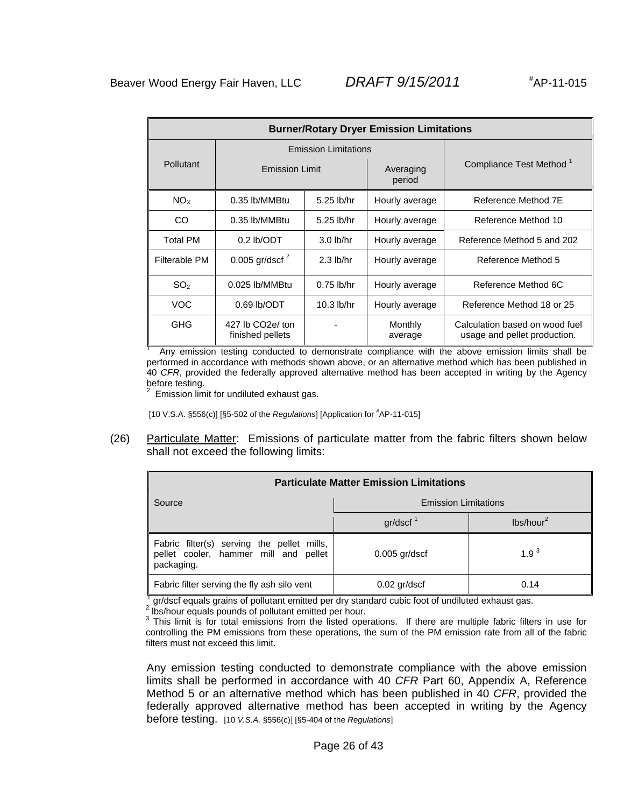| <b>Burner/Rotary Dryer Emission Limitations</b> |                                                   |              |                     |                                                                |  |
|-------------------------------------------------|---------------------------------------------------|--------------|---------------------|----------------------------------------------------------------|--|
|                                                 | <b>Emission Limitations</b>                       |              |                     |                                                                |  |
| <b>Pollutant</b>                                | <b>Emission Limit</b>                             |              | Averaging<br>period | Compliance Test Method <sup>1</sup>                            |  |
| NO <sub>x</sub>                                 | 0.35 lb/MMBtu                                     | 5.25 lb/hr   | Hourly average      | Reference Method 7E                                            |  |
| CO.                                             | 0.35 lb/MMBtu                                     | 5.25 lb/hr   | Hourly average      | Reference Method 10                                            |  |
| <b>Total PM</b>                                 | $0.2$ lb/ODT                                      | $3.0$ lb/hr  | Hourly average      | Reference Method 5 and 202                                     |  |
| Filterable PM                                   | 0.005 gr/dscf $^2$                                | $2.3$ lb/hr  | Hourly average      | Reference Method 5                                             |  |
| SO <sub>2</sub>                                 | $0.025$ lb/MMBtu                                  | $0.75$ lb/hr | Hourly average      | Reference Method 6C                                            |  |
| VOC.                                            | $0.69$ lb/ODT                                     | $10.3$ lb/hr | Hourly average      | Reference Method 18 or 25                                      |  |
| <b>GHG</b>                                      | 427 lb CO <sub>2</sub> e/ ton<br>finished pellets |              | Monthly<br>average  | Calculation based on wood fuel<br>usage and pellet production. |  |

1 Any emission testing conducted to demonstrate compliance with the above emission limits shall be performed in accordance with methods shown above, or an alternative method which has been published in 40 *CFR*, provided the federally approved alternative method has been accepted in writing by the Agency before testing.

 $2$  Emission limit for undiluted exhaust gas.

[10 V.S.A. §556(c)] [§5-502 of the *Regulations*] [Application for # AP-11-015]

(26) Particulate Matter: Emissions of particulate matter from the fabric filters shown below shall not exceed the following limits:

| <b>Particulate Matter Emission Limitations</b>                                                    |                             |                       |  |  |
|---------------------------------------------------------------------------------------------------|-----------------------------|-----------------------|--|--|
| Source                                                                                            | <b>Emission Limitations</b> |                       |  |  |
|                                                                                                   | gr/dscf <sup>1</sup>        | lbs/hour <sup>2</sup> |  |  |
| Fabric filter(s) serving the pellet mills,<br>pellet cooler, hammer mill and pellet<br>packaging. | $0.005$ gr/dscf             | $1.9^{3}$             |  |  |
| Fabric filter serving the fly ash silo vent                                                       | $0.02$ gr/dscf              | 0.14                  |  |  |

 $\frac{1}{3}$  gr/dscf equals grains of pollutant emitted per dry standard cubic foot of undiluted exhaust gas.

2 lbs/hour equals pounds of pollutant emitted per hour.

 $3$  This limit is for total emissions from the listed operations. If there are multiple fabric filters in use for controlling the PM emissions from these operations, the sum of the PM emission rate from all of the fabric filters must not exceed this limit.

Any emission testing conducted to demonstrate compliance with the above emission limits shall be performed in accordance with 40 *CFR* Part 60, Appendix A, Reference Method 5 or an alternative method which has been published in 40 *CFR*, provided the federally approved alternative method has been accepted in writing by the Agency before testing. [10 *V.S.A.* §556(c)] [§5-404 of the *Regulations*]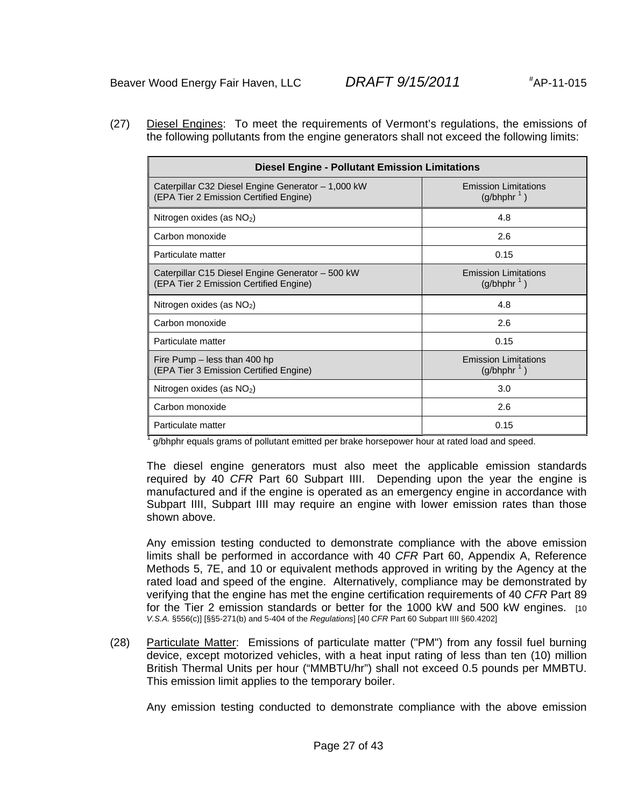(27) Diesel Engines: To meet the requirements of Vermont's regulations, the emissions of the following pollutants from the engine generators shall not exceed the following limits:

| <b>Diesel Engine - Pollutant Emission Limitations</b>                                        |                                              |  |  |  |  |
|----------------------------------------------------------------------------------------------|----------------------------------------------|--|--|--|--|
| Caterpillar C32 Diesel Engine Generator - 1,000 kW<br>(EPA Tier 2 Emission Certified Engine) | <b>Emission Limitations</b><br>$(g/bhphr^1)$ |  |  |  |  |
| Nitrogen oxides (as $NO2$ )                                                                  | 4.8                                          |  |  |  |  |
| Carbon monoxide                                                                              | 2.6                                          |  |  |  |  |
| Particulate matter                                                                           | 0.15                                         |  |  |  |  |
| Caterpillar C15 Diesel Engine Generator - 500 kW<br>(EPA Tier 2 Emission Certified Engine)   | <b>Emission Limitations</b><br>$(g/bhphr^1)$ |  |  |  |  |
| Nitrogen oxides (as $NO2$ )                                                                  | 4.8                                          |  |  |  |  |
| Carbon monoxide                                                                              | 2.6                                          |  |  |  |  |
| Particulate matter                                                                           | 0.15                                         |  |  |  |  |
| Fire Pump – less than 400 hp<br>(EPA Tier 3 Emission Certified Engine)                       | <b>Emission Limitations</b><br>$(g/bhphr^1)$ |  |  |  |  |
| Nitrogen oxides (as $NO2$ )                                                                  | 3.0                                          |  |  |  |  |
| Carbon monoxide                                                                              | 2.6                                          |  |  |  |  |
| Particulate matter                                                                           | 0.15                                         |  |  |  |  |

1 g/bhphr equals grams of pollutant emitted per brake horsepower hour at rated load and speed.

The diesel engine generators must also meet the applicable emission standards required by 40 *CFR* Part 60 Subpart IIII. Depending upon the year the engine is manufactured and if the engine is operated as an emergency engine in accordance with Subpart IIII, Subpart IIII may require an engine with lower emission rates than those shown above.

Any emission testing conducted to demonstrate compliance with the above emission limits shall be performed in accordance with 40 *CFR* Part 60, Appendix A, Reference Methods 5, 7E, and 10 or equivalent methods approved in writing by the Agency at the rated load and speed of the engine. Alternatively, compliance may be demonstrated by verifying that the engine has met the engine certification requirements of 40 *CFR* Part 89 for the Tier 2 emission standards or better for the 1000 kW and 500 kW engines. [10] *V.S.A.* §556(c)] [§§5-271(b) and 5-404 of the *Regulations*] [40 *CFR* Part 60 Subpart IIII §60.4202]

(28) Particulate Matter: Emissions of particulate matter ("PM") from any fossil fuel burning device, except motorized vehicles, with a heat input rating of less than ten (10) million British Thermal Units per hour ("MMBTU/hr") shall not exceed 0.5 pounds per MMBTU. This emission limit applies to the temporary boiler.

Any emission testing conducted to demonstrate compliance with the above emission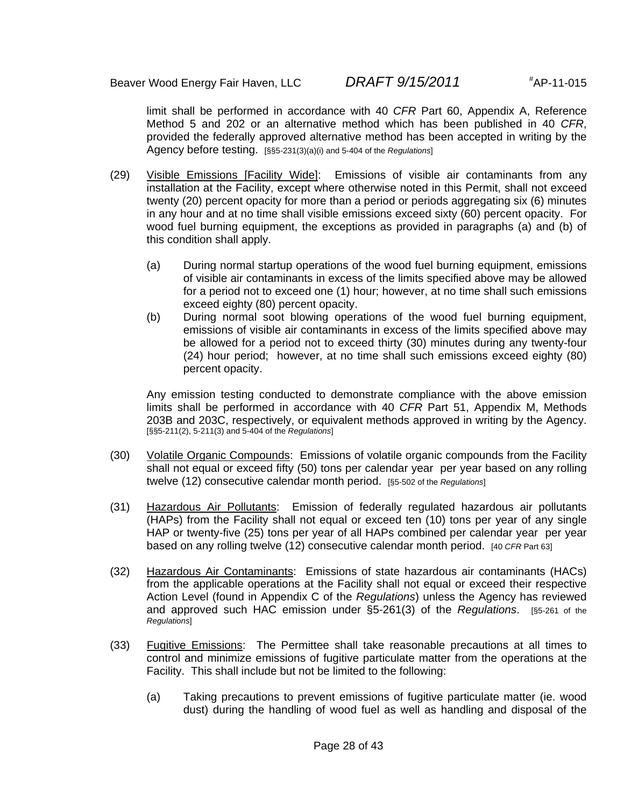limit shall be performed in accordance with 40 *CFR* Part 60, Appendix A, Reference Method 5 and 202 or an alternative method which has been published in 40 *CFR*, provided the federally approved alternative method has been accepted in writing by the Agency before testing. [§§5-231(3)(a)(i) and 5-404 of the *Regulations*]

- (29) Visible Emissions [Facility Wide]: Emissions of visible air contaminants from any installation at the Facility, except where otherwise noted in this Permit, shall not exceed twenty (20) percent opacity for more than a period or periods aggregating six (6) minutes in any hour and at no time shall visible emissions exceed sixty (60) percent opacity. For wood fuel burning equipment, the exceptions as provided in paragraphs (a) and (b) of this condition shall apply.
	- (a) During normal startup operations of the wood fuel burning equipment, emissions of visible air contaminants in excess of the limits specified above may be allowed for a period not to exceed one (1) hour; however, at no time shall such emissions exceed eighty (80) percent opacity.
	- (b) During normal soot blowing operations of the wood fuel burning equipment, emissions of visible air contaminants in excess of the limits specified above may be allowed for a period not to exceed thirty (30) minutes during any twenty-four (24) hour period; however, at no time shall such emissions exceed eighty (80) percent opacity.

Any emission testing conducted to demonstrate compliance with the above emission limits shall be performed in accordance with 40 *CFR* Part 51, Appendix M, Methods 203B and 203C, respectively, or equivalent methods approved in writing by the Agency. [§§5-211(2), 5-211(3) and 5-404 of the *Regulations*]

- (30) Volatile Organic Compounds: Emissions of volatile organic compounds from the Facility shall not equal or exceed fifty (50) tons per calendar year per year based on any rolling twelve (12) consecutive calendar month period. [§5-502 of the *Regulations*]
- (31) Hazardous Air Pollutants: Emission of federally regulated hazardous air pollutants (HAPs) from the Facility shall not equal or exceed ten (10) tons per year of any single HAP or twenty-five (25) tons per year of all HAPs combined per calendar year per year based on any rolling twelve (12) consecutive calendar month period. [40 *CFR* Part 63]
- (32) Hazardous Air Contaminants: Emissions of state hazardous air contaminants (HACs) from the applicable operations at the Facility shall not equal or exceed their respective Action Level (found in Appendix C of the *Regulations*) unless the Agency has reviewed and approved such HAC emission under §5-261(3) of the *Regulations*. [§5-261 of the *Regulations*]
- (33) Fugitive Emissions: The Permittee shall take reasonable precautions at all times to control and minimize emissions of fugitive particulate matter from the operations at the Facility. This shall include but not be limited to the following:
	- (a) Taking precautions to prevent emissions of fugitive particulate matter (ie. wood dust) during the handling of wood fuel as well as handling and disposal of the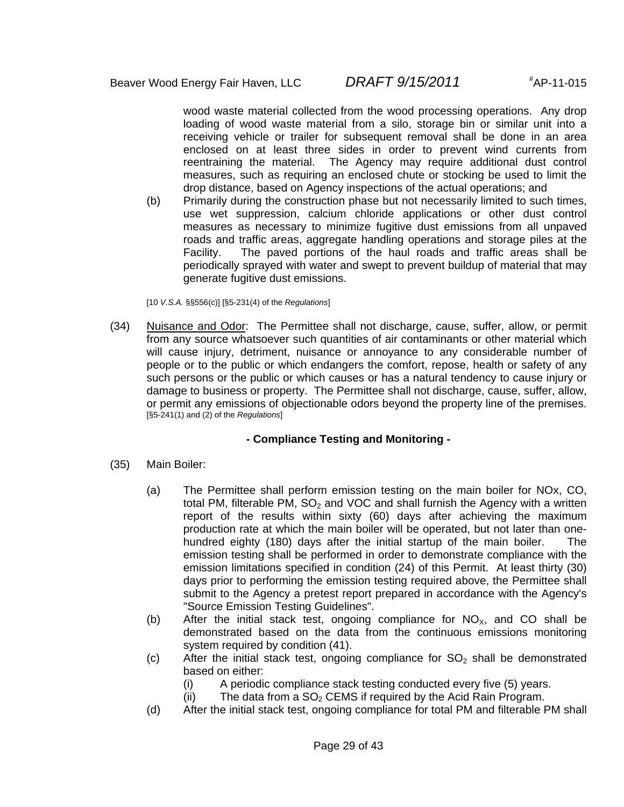wood waste material collected from the wood processing operations. Any drop loading of wood waste material from a silo, storage bin or similar unit into a receiving vehicle or trailer for subsequent removal shall be done in an area enclosed on at least three sides in order to prevent wind currents from reentraining the material. The Agency may require additional dust control measures, such as requiring an enclosed chute or stocking be used to limit the drop distance, based on Agency inspections of the actual operations; and

(b) Primarily during the construction phase but not necessarily limited to such times, use wet suppression, calcium chloride applications or other dust control measures as necessary to minimize fugitive dust emissions from all unpaved roads and traffic areas, aggregate handling operations and storage piles at the Facility. The paved portions of the haul roads and traffic areas shall be periodically sprayed with water and swept to prevent buildup of material that may generate fugitive dust emissions.

[10 *V.S.A.* §§556(c)] [§5-231(4) of the *Regulations*]

(34) Nuisance and Odor: The Permittee shall not discharge, cause, suffer, allow, or permit from any source whatsoever such quantities of air contaminants or other material which will cause injury, detriment, nuisance or annoyance to any considerable number of people or to the public or which endangers the comfort, repose, health or safety of any such persons or the public or which causes or has a natural tendency to cause injury or damage to business or property. The Permittee shall not discharge, cause, suffer, allow, or permit any emissions of objectionable odors beyond the property line of the premises. [§5-241(1) and (2) of the *Regulations*]

### **- Compliance Testing and Monitoring -**

- (35) Main Boiler:
	- (a) The Permittee shall perform emission testing on the main boiler for NOx, CO, total PM, filterable PM,  $SO<sub>2</sub>$  and VOC and shall furnish the Agency with a written report of the results within sixty (60) days after achieving the maximum production rate at which the main boiler will be operated, but not later than onehundred eighty (180) days after the initial startup of the main boiler. The emission testing shall be performed in order to demonstrate compliance with the emission limitations specified in condition (24) of this Permit. At least thirty (30) days prior to performing the emission testing required above, the Permittee shall submit to the Agency a pretest report prepared in accordance with the Agency's "Source Emission Testing Guidelines".
	- (b) After the initial stack test, ongoing compliance for  $NO_{x}$ , and CO shall be demonstrated based on the data from the continuous emissions monitoring system required by condition (41).
	- (c) After the initial stack test, ongoing compliance for  $SO<sub>2</sub>$  shall be demonstrated based on either:
		- (i) A periodic compliance stack testing conducted every five (5) years.
		- (ii) The data from a  $SO<sub>2</sub>$  CEMS if required by the Acid Rain Program.
	- (d) After the initial stack test, ongoing compliance for total PM and filterable PM shall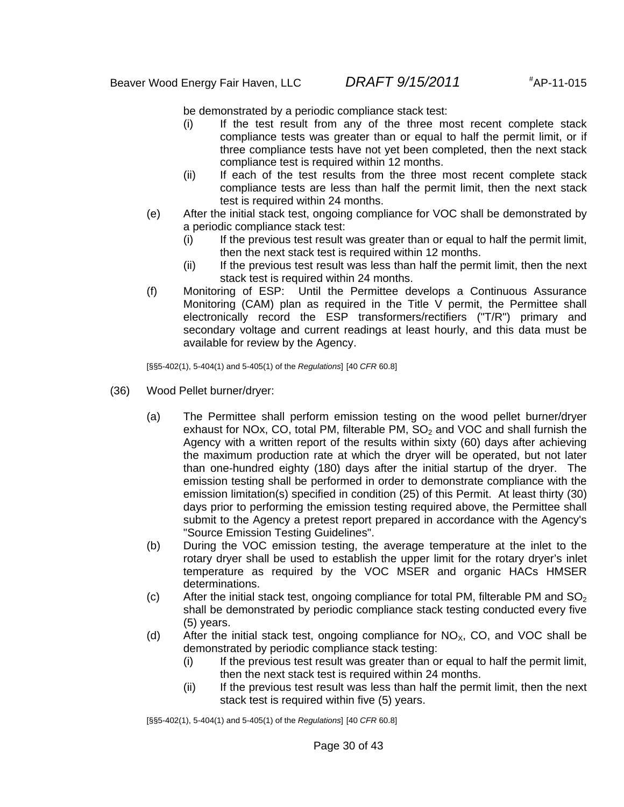be demonstrated by a periodic compliance stack test:

- (i) If the test result from any of the three most recent complete stack compliance tests was greater than or equal to half the permit limit, or if three compliance tests have not yet been completed, then the next stack compliance test is required within 12 months.
- (ii) If each of the test results from the three most recent complete stack compliance tests are less than half the permit limit, then the next stack test is required within 24 months.
- (e) After the initial stack test, ongoing compliance for VOC shall be demonstrated by a periodic compliance stack test:
	- (i) If the previous test result was greater than or equal to half the permit limit, then the next stack test is required within 12 months.
	- (ii) If the previous test result was less than half the permit limit, then the next stack test is required within 24 months.
- (f) Monitoring of ESP: Until the Permittee develops a Continuous Assurance Monitoring (CAM) plan as required in the Title V permit, the Permittee shall electronically record the ESP transformers/rectifiers ("T/R") primary and secondary voltage and current readings at least hourly, and this data must be available for review by the Agency.

[§§5-402(1), 5-404(1) and 5-405(1) of the *Regulations*] [40 *CFR* 60.8]

- (36) Wood Pellet burner/dryer:
	- (a) The Permittee shall perform emission testing on the wood pellet burner/dryer exhaust for NOx, CO, total PM, filterable PM,  $SO<sub>2</sub>$  and VOC and shall furnish the Agency with a written report of the results within sixty (60) days after achieving the maximum production rate at which the dryer will be operated, but not later than one-hundred eighty (180) days after the initial startup of the dryer. The emission testing shall be performed in order to demonstrate compliance with the emission limitation(s) specified in condition (25) of this Permit. At least thirty (30) days prior to performing the emission testing required above, the Permittee shall submit to the Agency a pretest report prepared in accordance with the Agency's "Source Emission Testing Guidelines".
	- (b) During the VOC emission testing, the average temperature at the inlet to the rotary dryer shall be used to establish the upper limit for the rotary dryer's inlet temperature as required by the VOC MSER and organic HACs HMSER determinations.
	- (c) After the initial stack test, ongoing compliance for total PM, filterable PM and  $SO<sub>2</sub>$ shall be demonstrated by periodic compliance stack testing conducted every five (5) years.
	- (d) After the initial stack test, ongoing compliance for  $NO_{x}$ , CO, and VOC shall be demonstrated by periodic compliance stack testing:
		- (i) If the previous test result was greater than or equal to half the permit limit, then the next stack test is required within 24 months.
		- (ii) If the previous test result was less than half the permit limit, then the next stack test is required within five (5) years.

[§§5-402(1), 5-404(1) and 5-405(1) of the *Regulations*] [40 *CFR* 60.8]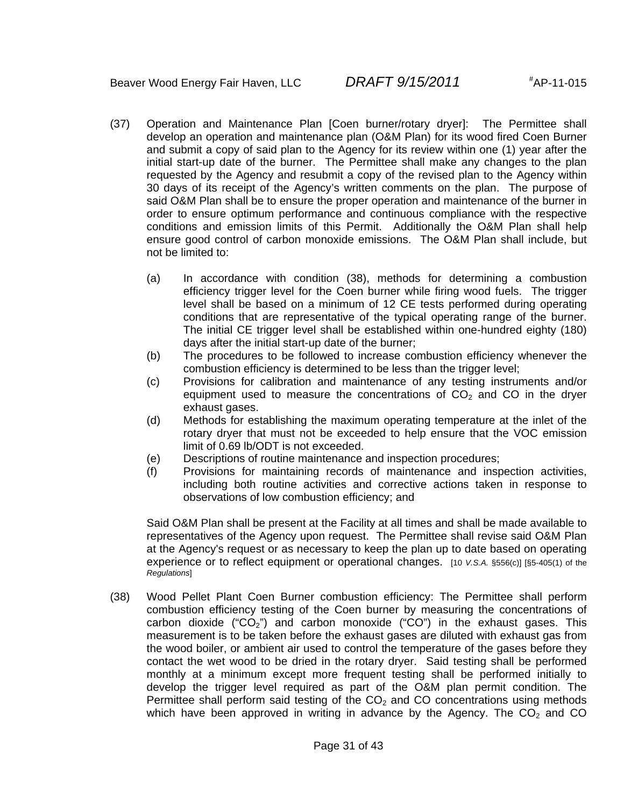- (37) Operation and Maintenance Plan [Coen burner/rotary dryer]: The Permittee shall develop an operation and maintenance plan (O&M Plan) for its wood fired Coen Burner and submit a copy of said plan to the Agency for its review within one (1) year after the initial start-up date of the burner. The Permittee shall make any changes to the plan requested by the Agency and resubmit a copy of the revised plan to the Agency within 30 days of its receipt of the Agency's written comments on the plan. The purpose of said O&M Plan shall be to ensure the proper operation and maintenance of the burner in order to ensure optimum performance and continuous compliance with the respective conditions and emission limits of this Permit. Additionally the O&M Plan shall help ensure good control of carbon monoxide emissions. The O&M Plan shall include, but not be limited to:
	- (a) In accordance with condition (38), methods for determining a combustion efficiency trigger level for the Coen burner while firing wood fuels. The trigger level shall be based on a minimum of 12 CE tests performed during operating conditions that are representative of the typical operating range of the burner. The initial CE trigger level shall be established within one-hundred eighty (180) days after the initial start-up date of the burner;
	- (b) The procedures to be followed to increase combustion efficiency whenever the combustion efficiency is determined to be less than the trigger level;
	- (c) Provisions for calibration and maintenance of any testing instruments and/or equipment used to measure the concentrations of  $CO<sub>2</sub>$  and CO in the dryer exhaust gases.
	- (d) Methods for establishing the maximum operating temperature at the inlet of the rotary dryer that must not be exceeded to help ensure that the VOC emission limit of 0.69 lb/ODT is not exceeded.
	- (e) Descriptions of routine maintenance and inspection procedures;
	- (f) Provisions for maintaining records of maintenance and inspection activities, including both routine activities and corrective actions taken in response to observations of low combustion efficiency; and

Said O&M Plan shall be present at the Facility at all times and shall be made available to representatives of the Agency upon request. The Permittee shall revise said O&M Plan at the Agency's request or as necessary to keep the plan up to date based on operating experience or to reflect equipment or operational changes. [10 *V.S.A.* §556(c)] [§5-405(1) of the *Regulations*]

(38) Wood Pellet Plant Coen Burner combustion efficiency: The Permittee shall perform combustion efficiency testing of the Coen burner by measuring the concentrations of carbon dioxide ("CO<sub>2</sub>") and carbon monoxide ("CO") in the exhaust gases. This measurement is to be taken before the exhaust gases are diluted with exhaust gas from the wood boiler, or ambient air used to control the temperature of the gases before they contact the wet wood to be dried in the rotary dryer. Said testing shall be performed monthly at a minimum except more frequent testing shall be performed initially to develop the trigger level required as part of the O&M plan permit condition. The Permittee shall perform said testing of the  $CO<sub>2</sub>$  and CO concentrations using methods which have been approved in writing in advance by the Agency. The  $CO<sub>2</sub>$  and CO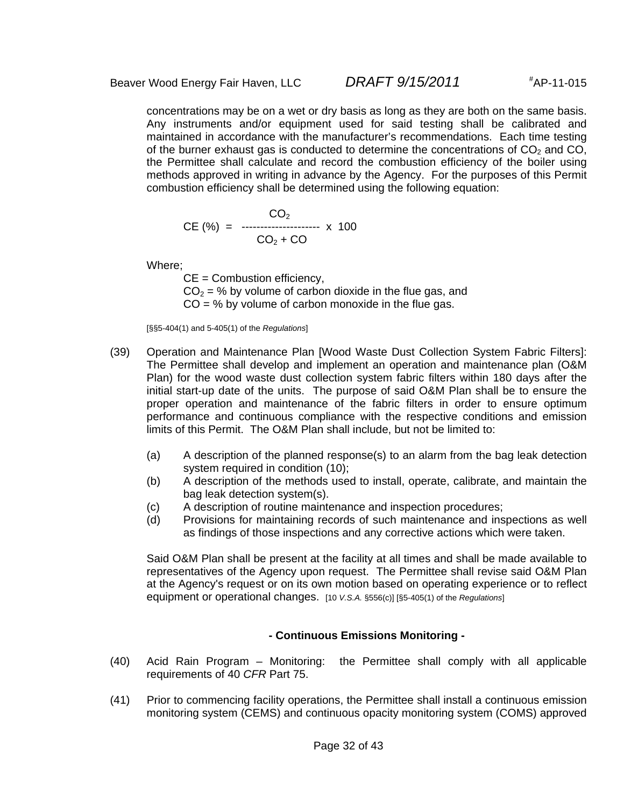concentrations may be on a wet or dry basis as long as they are both on the same basis. Any instruments and/or equipment used for said testing shall be calibrated and maintained in accordance with the manufacturer's recommendations. Each time testing of the burner exhaust gas is conducted to determine the concentrations of  $CO<sub>2</sub>$  and  $CO<sub>1</sub>$ the Permittee shall calculate and record the combustion efficiency of the boiler using methods approved in writing in advance by the Agency. For the purposes of this Permit combustion efficiency shall be determined using the following equation:

$$
CE (%) = 100
$$
\n
$$
CD2 + CO
$$
\n
$$
CO2 + CO
$$

Where;

 $CE =$  Combustion efficiency,  $CO<sub>2</sub> = %$  by volume of carbon dioxide in the flue gas, and  $CO = %$  by volume of carbon monoxide in the flue gas.

[§§5-404(1) and 5-405(1) of the *Regulations*]

- (39) Operation and Maintenance Plan [Wood Waste Dust Collection System Fabric Filters]: The Permittee shall develop and implement an operation and maintenance plan (O&M Plan) for the wood waste dust collection system fabric filters within 180 days after the initial start-up date of the units. The purpose of said O&M Plan shall be to ensure the proper operation and maintenance of the fabric filters in order to ensure optimum performance and continuous compliance with the respective conditions and emission limits of this Permit. The O&M Plan shall include, but not be limited to:
	- (a) A description of the planned response(s) to an alarm from the bag leak detection system required in condition (10);
	- (b) A description of the methods used to install, operate, calibrate, and maintain the bag leak detection system(s).
	- (c) A description of routine maintenance and inspection procedures;
	- (d) Provisions for maintaining records of such maintenance and inspections as well as findings of those inspections and any corrective actions which were taken.

Said O&M Plan shall be present at the facility at all times and shall be made available to representatives of the Agency upon request. The Permittee shall revise said O&M Plan at the Agency's request or on its own motion based on operating experience or to reflect equipment or operational changes. [10 *V.S.A.* §556(c)] [§5-405(1) of the *Regulations*]

### **- Continuous Emissions Monitoring -**

- (40) Acid Rain Program Monitoring: the Permittee shall comply with all applicable requirements of 40 *CFR* Part 75.
- (41) Prior to commencing facility operations, the Permittee shall install a continuous emission monitoring system (CEMS) and continuous opacity monitoring system (COMS) approved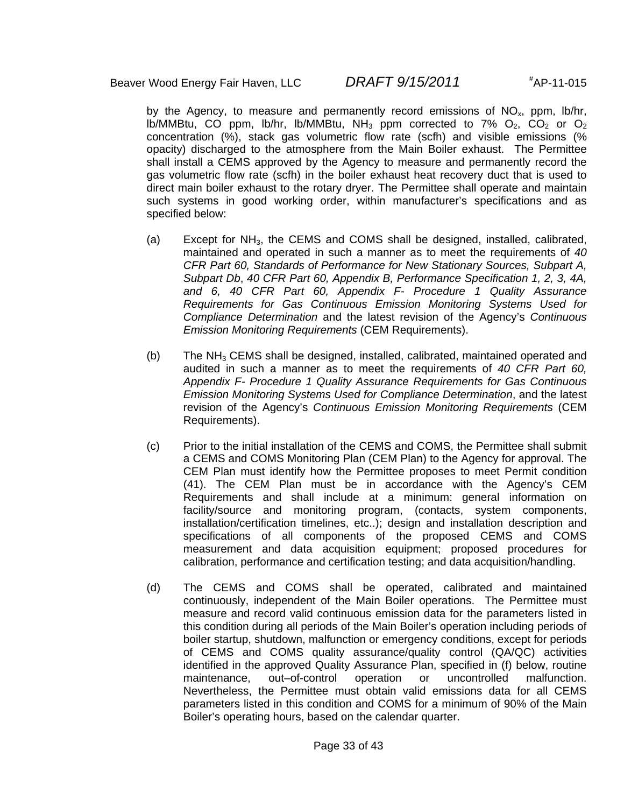by the Agency, to measure and permanently record emissions of  $NO<sub>x</sub>$ , ppm, lb/hr, lb/MMBtu, CO ppm, lb/hr, lb/MMBtu, NH<sub>3</sub> ppm corrected to 7%  $O_2$ , CO<sub>2</sub> or  $O_2$ concentration (%), stack gas volumetric flow rate (scfh) and visible emissions (% opacity) discharged to the atmosphere from the Main Boiler exhaust. The Permittee shall install a CEMS approved by the Agency to measure and permanently record the gas volumetric flow rate (scfh) in the boiler exhaust heat recovery duct that is used to direct main boiler exhaust to the rotary dryer. The Permittee shall operate and maintain such systems in good working order, within manufacturer's specifications and as specified below:

- (a) Except for  $NH<sub>3</sub>$ , the CEMS and COMS shall be designed, installed, calibrated, maintained and operated in such a manner as to meet the requirements of *40 CFR Part 60, Standards of Performance for New Stationary Sources, Subpart A, Subpart Db*, *40 CFR Part 60, Appendix B, Performance Specification 1, 2, 3, 4A, and 6, 40 CFR Part 60, Appendix F- Procedure 1 Quality Assurance Requirements for Gas Continuous Emission Monitoring Systems Used for Compliance Determination* and the latest revision of the Agency's *Continuous Emission Monitoring Requirements* (CEM Requirements).
- (b) The  $NH<sub>3</sub>$  CEMS shall be designed, installed, calibrated, maintained operated and audited in such a manner as to meet the requirements of *40 CFR Part 60, Appendix F- Procedure 1 Quality Assurance Requirements for Gas Continuous Emission Monitoring Systems Used for Compliance Determination*, and the latest revision of the Agency's *Continuous Emission Monitoring Requirements* (CEM Requirements).
- (c) Prior to the initial installation of the CEMS and COMS, the Permittee shall submit a CEMS and COMS Monitoring Plan (CEM Plan) to the Agency for approval. The CEM Plan must identify how the Permittee proposes to meet Permit condition (41). The CEM Plan must be in accordance with the Agency's CEM Requirements and shall include at a minimum: general information on facility/source and monitoring program, (contacts, system components, installation/certification timelines, etc..); design and installation description and specifications of all components of the proposed CEMS and COMS measurement and data acquisition equipment; proposed procedures for calibration, performance and certification testing; and data acquisition/handling.
- (d) The CEMS and COMS shall be operated, calibrated and maintained continuously, independent of the Main Boiler operations. The Permittee must measure and record valid continuous emission data for the parameters listed in this condition during all periods of the Main Boiler's operation including periods of boiler startup, shutdown, malfunction or emergency conditions, except for periods of CEMS and COMS quality assurance/quality control (QA/QC) activities identified in the approved Quality Assurance Plan, specified in (f) below, routine maintenance, out–of-control operation or uncontrolled malfunction. Nevertheless, the Permittee must obtain valid emissions data for all CEMS parameters listed in this condition and COMS for a minimum of 90% of the Main Boiler's operating hours, based on the calendar quarter.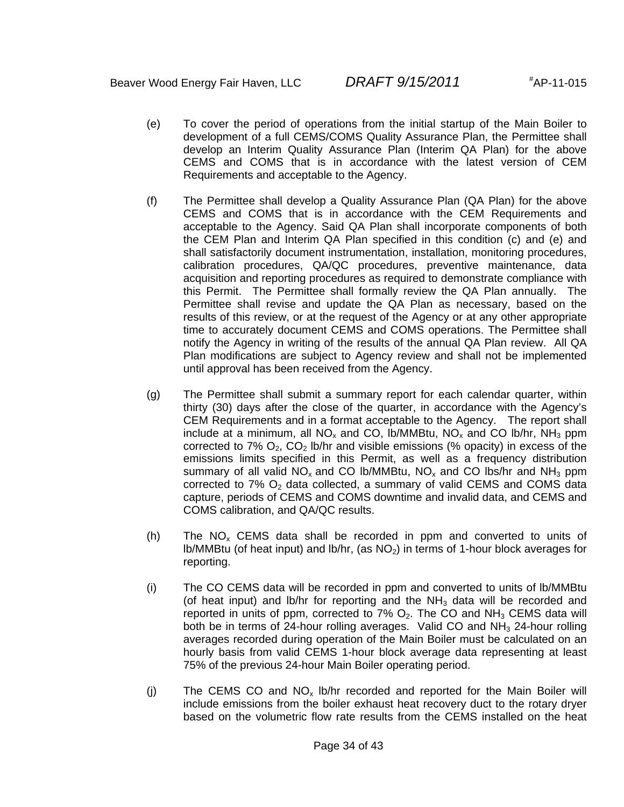- (e) To cover the period of operations from the initial startup of the Main Boiler to development of a full CEMS/COMS Quality Assurance Plan, the Permittee shall develop an Interim Quality Assurance Plan (Interim QA Plan) for the above CEMS and COMS that is in accordance with the latest version of CEM Requirements and acceptable to the Agency.
- (f) The Permittee shall develop a Quality Assurance Plan (QA Plan) for the above CEMS and COMS that is in accordance with the CEM Requirements and acceptable to the Agency. Said QA Plan shall incorporate components of both the CEM Plan and Interim QA Plan specified in this condition (c) and (e) and shall satisfactorily document instrumentation, installation, monitoring procedures, calibration procedures, QA/QC procedures, preventive maintenance, data acquisition and reporting procedures as required to demonstrate compliance with this Permit. The Permittee shall formally review the QA Plan annually. The Permittee shall revise and update the QA Plan as necessary, based on the results of this review, or at the request of the Agency or at any other appropriate time to accurately document CEMS and COMS operations. The Permittee shall notify the Agency in writing of the results of the annual QA Plan review. All QA Plan modifications are subject to Agency review and shall not be implemented until approval has been received from the Agency.
- (g) The Permittee shall submit a summary report for each calendar quarter, within thirty (30) days after the close of the quarter, in accordance with the Agency's CEM Requirements and in a format acceptable to the Agency. The report shall include at a minimum, all  $NO_x$  and CO, lb/MMBtu,  $NO_x$  and CO lb/hr,  $NH_3$  ppm corrected to 7%  $O_2$ ,  $CO_2$  lb/hr and visible emissions (% opacity) in excess of the emissions limits specified in this Permit, as well as a frequency distribution summary of all valid NO<sub>x</sub> and CO lb/MMBtu, NO<sub>x</sub> and CO lbs/hr and NH<sub>3</sub> ppm corrected to  $7\%$  O<sub>2</sub> data collected, a summary of valid CEMS and COMS data capture, periods of CEMS and COMS downtime and invalid data, and CEMS and COMS calibration, and QA/QC results.
- (h) The  $NO_x$  CEMS data shall be recorded in ppm and converted to units of lb/MMBtu (of heat input) and lb/hr, (as  $NO<sub>2</sub>$ ) in terms of 1-hour block averages for reporting.
- (i) The CO CEMS data will be recorded in ppm and converted to units of lb/MMBtu (of heat input) and lb/hr for reporting and the  $NH<sub>3</sub>$  data will be recorded and reported in units of ppm, corrected to  $7\%$  O<sub>2</sub>. The CO and NH<sub>3</sub> CEMS data will both be in terms of 24-hour rolling averages. Valid CO and  $NH<sub>3</sub>$  24-hour rolling averages recorded during operation of the Main Boiler must be calculated on an hourly basis from valid CEMS 1-hour block average data representing at least 75% of the previous 24-hour Main Boiler operating period.
- (i) The CEMS CO and  $NO_x$  lb/hr recorded and reported for the Main Boiler will include emissions from the boiler exhaust heat recovery duct to the rotary dryer based on the volumetric flow rate results from the CEMS installed on the heat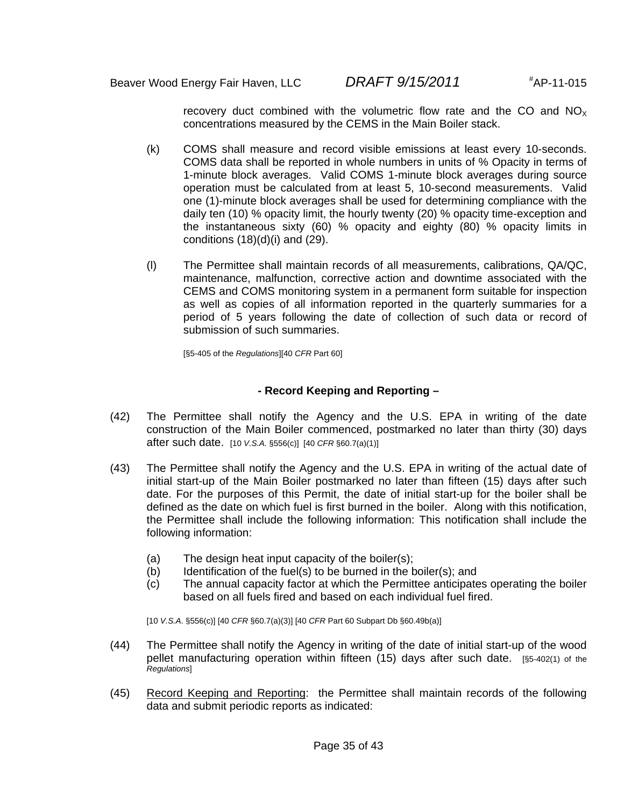recovery duct combined with the volumetric flow rate and the CO and  $NO<sub>x</sub>$ concentrations measured by the CEMS in the Main Boiler stack.

- (k) COMS shall measure and record visible emissions at least every 10-seconds. COMS data shall be reported in whole numbers in units of % Opacity in terms of 1-minute block averages. Valid COMS 1-minute block averages during source operation must be calculated from at least 5, 10-second measurements. Valid one (1)-minute block averages shall be used for determining compliance with the daily ten (10) % opacity limit, the hourly twenty (20) % opacity time-exception and the instantaneous sixty (60) % opacity and eighty (80) % opacity limits in conditions  $(18)(d)(i)$  and  $(29)$ .
- (l) The Permittee shall maintain records of all measurements, calibrations, QA/QC, maintenance, malfunction, corrective action and downtime associated with the CEMS and COMS monitoring system in a permanent form suitable for inspection as well as copies of all information reported in the quarterly summaries for a period of 5 years following the date of collection of such data or record of submission of such summaries.

[§5-405 of the *Regulations*][40 *CFR* Part 60]

#### **- Record Keeping and Reporting –**

- (42) The Permittee shall notify the Agency and the U.S. EPA in writing of the date construction of the Main Boiler commenced, postmarked no later than thirty (30) days after such date. [10 *V.S.A.* §556(c)] [40 *CFR* §60.7(a)(1)]
- (43) The Permittee shall notify the Agency and the U.S. EPA in writing of the actual date of initial start-up of the Main Boiler postmarked no later than fifteen (15) days after such date. For the purposes of this Permit, the date of initial start-up for the boiler shall be defined as the date on which fuel is first burned in the boiler. Along with this notification, the Permittee shall include the following information: This notification shall include the following information:
	- (a) The design heat input capacity of the boiler(s);
	- (b) Identification of the fuel(s) to be burned in the boiler(s); and
	- (c) The annual capacity factor at which the Permittee anticipates operating the boiler based on all fuels fired and based on each individual fuel fired.

[10 *V.S.A*. §556(c)] [40 *CFR* §60.7(a)(3)] [40 *CFR* Part 60 Subpart Db §60.49b(a)]

- (44) The Permittee shall notify the Agency in writing of the date of initial start-up of the wood pellet manufacturing operation within fifteen (15) days after such date. [§5-402(1) of the *Regulations*]
- (45) Record Keeping and Reporting: the Permittee shall maintain records of the following data and submit periodic reports as indicated: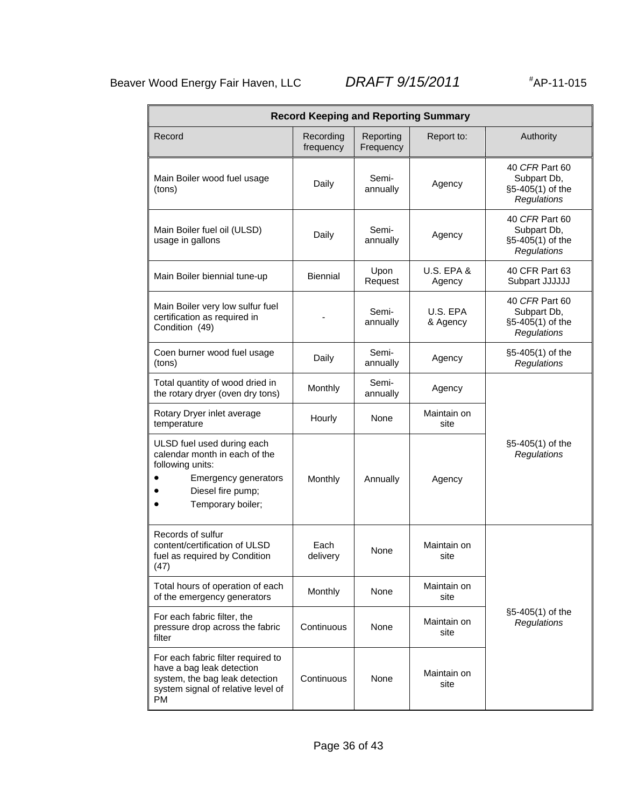AP-11-015

| <b>Record Keeping and Reporting Summary</b>                                                                                                              |                        |                        |                                 |                                                                         |
|----------------------------------------------------------------------------------------------------------------------------------------------------------|------------------------|------------------------|---------------------------------|-------------------------------------------------------------------------|
| Record                                                                                                                                                   | Recording<br>frequency | Reporting<br>Frequency | Report to:                      | Authority                                                               |
| Main Boiler wood fuel usage<br>(tons)                                                                                                                    | Daily                  | Semi-<br>annually      | Agency                          | 40 CFR Part 60<br>Subpart Db,<br>§5-405(1) of the<br>Regulations        |
| Main Boiler fuel oil (ULSD)<br>usage in gallons                                                                                                          | Daily                  | Semi-<br>annually      | Agency                          | 40 CFR Part 60<br>Subpart Db,<br>§5-405(1) of the<br><b>Regulations</b> |
| Main Boiler biennial tune-up                                                                                                                             | Biennial               | Upon<br>Request        | <b>U.S. EPA &amp;</b><br>Agency | 40 CFR Part 63<br>Subpart JJJJJJ                                        |
| Main Boiler very low sulfur fuel<br>certification as required in<br>Condition (49)                                                                       |                        | Semi-<br>annually      | U.S. EPA<br>& Agency            | 40 CFR Part 60<br>Subpart Db,<br>§5-405(1) of the<br>Regulations        |
| Coen burner wood fuel usage<br>(tons)                                                                                                                    | Daily                  | Semi-<br>annually      | Agency                          | §5-405(1) of the<br>Regulations                                         |
| Total quantity of wood dried in<br>the rotary dryer (oven dry tons)                                                                                      | Monthly                | Semi-<br>annually      | Agency                          |                                                                         |
| Rotary Dryer inlet average<br>temperature                                                                                                                | Hourly                 | None                   | Maintain on<br>site             |                                                                         |
| ULSD fuel used during each<br>calendar month in each of the<br>following units:<br><b>Emergency generators</b><br>Diesel fire pump;<br>Temporary boiler; | Monthly                | Annually               | Agency                          | §5-405(1) of the<br><b>Regulations</b>                                  |
| Records of sulfur<br>content/certification of ULSD<br>fuel as required by Condition<br>(47)                                                              | Each<br>delivery       | None                   | Maintain on<br>site             |                                                                         |
| Total hours of operation of each<br>of the emergency generators                                                                                          | Monthly                | None                   | Maintain on<br>site             |                                                                         |
| For each fabric filter, the<br>pressure drop across the fabric<br>filter                                                                                 | Continuous             | None                   | Maintain on<br>site             | §5-405(1) of the<br><b>Regulations</b>                                  |
| For each fabric filter required to<br>have a bag leak detection<br>system, the bag leak detection<br>system signal of relative level of<br><b>PM</b>     | Continuous             | None                   | Maintain on<br>site             |                                                                         |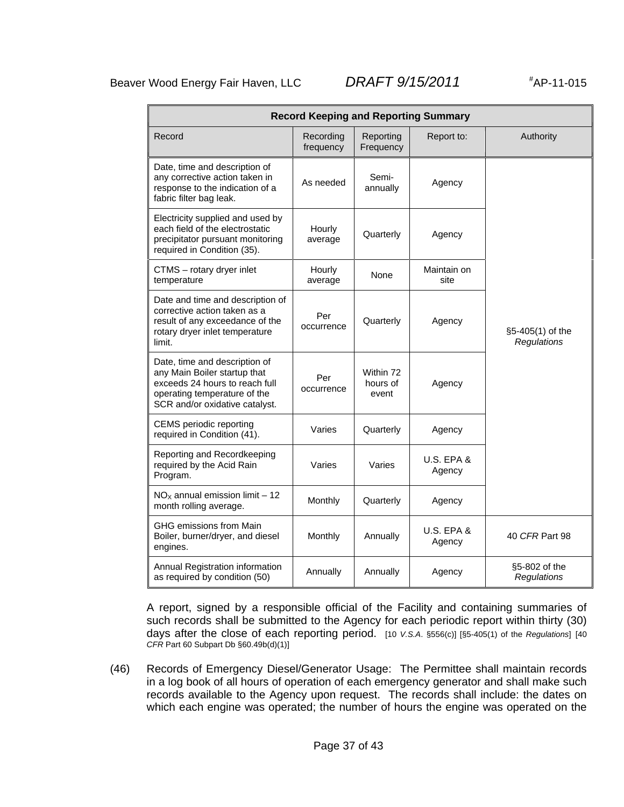AP-11-015

| <b>Record Keeping and Reporting Summary</b>                                                                                                                       |                        |                                |                          |                                 |  |
|-------------------------------------------------------------------------------------------------------------------------------------------------------------------|------------------------|--------------------------------|--------------------------|---------------------------------|--|
| Record                                                                                                                                                            | Recording<br>frequency | Reporting<br>Frequency         | Report to:               | Authority                       |  |
| Date, time and description of<br>any corrective action taken in<br>response to the indication of a<br>fabric filter bag leak.                                     | As needed              | Semi-<br>annually              | Agency                   |                                 |  |
| Electricity supplied and used by<br>each field of the electrostatic<br>precipitator pursuant monitoring<br>required in Condition (35).                            | Hourly<br>average      | Quarterly                      | Agency                   |                                 |  |
| CTMS - rotary dryer inlet<br>temperature                                                                                                                          | Hourly<br>average      | None                           | Maintain on<br>site      |                                 |  |
| Date and time and description of<br>corrective action taken as a<br>result of any exceedance of the<br>rotary dryer inlet temperature<br>limit.                   | Per<br>occurrence      | Quarterly                      | Agency                   | §5-405(1) of the<br>Regulations |  |
| Date, time and description of<br>any Main Boiler startup that<br>exceeds 24 hours to reach full<br>operating temperature of the<br>SCR and/or oxidative catalyst. | Per<br>occurrence      | Within 72<br>hours of<br>event | Agency                   |                                 |  |
| <b>CEMS</b> periodic reporting<br>required in Condition (41).                                                                                                     | Varies                 | Quarterly                      | Agency                   |                                 |  |
| Reporting and Recordkeeping<br>required by the Acid Rain<br>Program.                                                                                              | Varies                 | Varies                         | U.S. EPA &<br>Agency     |                                 |  |
| $NOx$ annual emission limit - 12<br>month rolling average.                                                                                                        | Monthly                | Quarterly                      | Agency                   |                                 |  |
| GHG emissions from Main<br>Boiler, burner/dryer, and diesel<br>engines.                                                                                           | Monthly                | Annually                       | $U.S.$ EPA $&$<br>Agency | 40 CFR Part 98                  |  |
| Annual Registration information<br>as required by condition (50)                                                                                                  | Annually               | Annually                       | Agency                   | §5-802 of the<br>Regulations    |  |

A report, signed by a responsible official of the Facility and containing summaries of such records shall be submitted to the Agency for each periodic report within thirty (30) days after the close of each reporting period. [10 *V.S.A*. §556(c)] [§5-405(1) of the *Regulations*] [40 *CFR* Part 60 Subpart Db §60.49b(d)(1)]

(46) Records of Emergency Diesel/Generator Usage: The Permittee shall maintain records in a log book of all hours of operation of each emergency generator and shall make such records available to the Agency upon request. The records shall include: the dates on which each engine was operated; the number of hours the engine was operated on the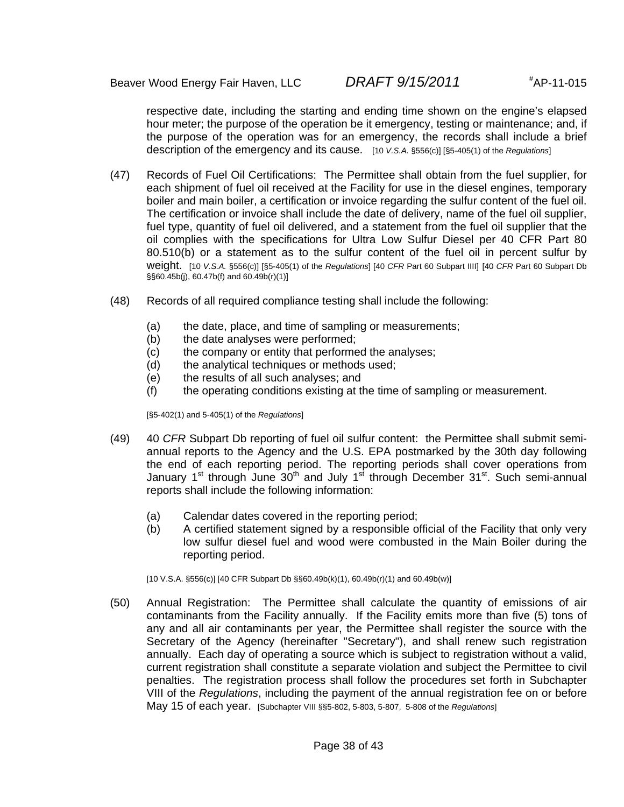respective date, including the starting and ending time shown on the engine's elapsed hour meter; the purpose of the operation be it emergency, testing or maintenance; and, if the purpose of the operation was for an emergency, the records shall include a brief description of the emergency and its cause. [10 *V.S.A.* §556(c)] [§5-405(1) of the *Regulations*]

- (47) Records of Fuel Oil Certifications: The Permittee shall obtain from the fuel supplier, for each shipment of fuel oil received at the Facility for use in the diesel engines, temporary boiler and main boiler, a certification or invoice regarding the sulfur content of the fuel oil. The certification or invoice shall include the date of delivery, name of the fuel oil supplier, fuel type, quantity of fuel oil delivered, and a statement from the fuel oil supplier that the oil complies with the specifications for Ultra Low Sulfur Diesel per 40 CFR Part 80 80.510(b) or a statement as to the sulfur content of the fuel oil in percent sulfur by weight. [10 *V.S.A.* §556(c)] [§5-405(1) of the *Regulations*] [40 *CFR* Part 60 Subpart IIII] [40 *CFR* Part 60 Subpart Db §§60.45b(j), 60.47b(f) and 60.49b(r)(1)]
- (48) Records of all required compliance testing shall include the following:
	- (a) the date, place, and time of sampling or measurements;
	- (b) the date analyses were performed;
	- (c) the company or entity that performed the analyses;
	- (d) the analytical techniques or methods used;
	- (e) the results of all such analyses; and
	- (f) the operating conditions existing at the time of sampling or measurement.

[§5-402(1) and 5-405(1) of the *Regulations*]

- (49) 40 *CFR* Subpart Db reporting of fuel oil sulfur content: the Permittee shall submit semiannual reports to the Agency and the U.S. EPA postmarked by the 30th day following the end of each reporting period. The reporting periods shall cover operations from January 1<sup>st</sup> through June  $30<sup>th</sup>$  and July 1<sup>st</sup> through December  $31<sup>st</sup>$ . Such semi-annual reports shall include the following information:
	- (a) Calendar dates covered in the reporting period;
	- (b) A certified statement signed by a responsible official of the Facility that only very low sulfur diesel fuel and wood were combusted in the Main Boiler during the reporting period.

[10 V.S.A. §556(c)] [40 CFR Subpart Db §§60.49b(k)(1), 60.49b(r)(1) and 60.49b(w)]

(50) Annual Registration: The Permittee shall calculate the quantity of emissions of air contaminants from the Facility annually. If the Facility emits more than five (5) tons of any and all air contaminants per year, the Permittee shall register the source with the Secretary of the Agency (hereinafter "Secretary"), and shall renew such registration annually. Each day of operating a source which is subject to registration without a valid, current registration shall constitute a separate violation and subject the Permittee to civil penalties. The registration process shall follow the procedures set forth in Subchapter VIII of the *Regulations*, including the payment of the annual registration fee on or before May 15 of each year. [Subchapter VIII §§5-802, 5-803, 5-807, 5-808 of the *Regulations*]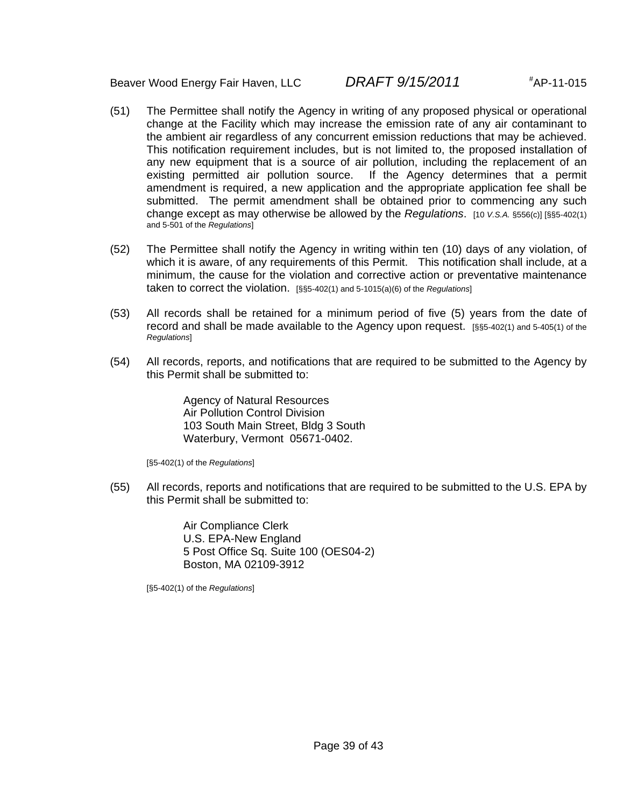- (51) The Permittee shall notify the Agency in writing of any proposed physical or operational change at the Facility which may increase the emission rate of any air contaminant to the ambient air regardless of any concurrent emission reductions that may be achieved. This notification requirement includes, but is not limited to, the proposed installation of any new equipment that is a source of air pollution, including the replacement of an existing permitted air pollution source. If the Agency determines that a permit amendment is required, a new application and the appropriate application fee shall be submitted. The permit amendment shall be obtained prior to commencing any such change except as may otherwise be allowed by the *Regulations*. [10 *V.S.A.* §556(c)] [§§5-402(1) and 5-501 of the *Regulations*]
- (52) The Permittee shall notify the Agency in writing within ten (10) days of any violation, of which it is aware, of any requirements of this Permit. This notification shall include, at a minimum, the cause for the violation and corrective action or preventative maintenance taken to correct the violation. [§§5-402(1) and 5-1015(a)(6) of the *Regulations*]
- (53) All records shall be retained for a minimum period of five (5) years from the date of record and shall be made available to the Agency upon request. [§§5-402(1) and 5-405(1) of the *Regulations*]
- (54) All records, reports, and notifications that are required to be submitted to the Agency by this Permit shall be submitted to:

Agency of Natural Resources Air Pollution Control Division 103 South Main Street, Bldg 3 South Waterbury, Vermont 05671-0402.

[§5-402(1) of the *Regulations*]

(55) All records, reports and notifications that are required to be submitted to the U.S. EPA by this Permit shall be submitted to:

> Air Compliance Clerk U.S. EPA-New England 5 Post Office Sq. Suite 100 (OES04-2) Boston, MA 02109-3912

[§5-402(1) of the *Regulations*]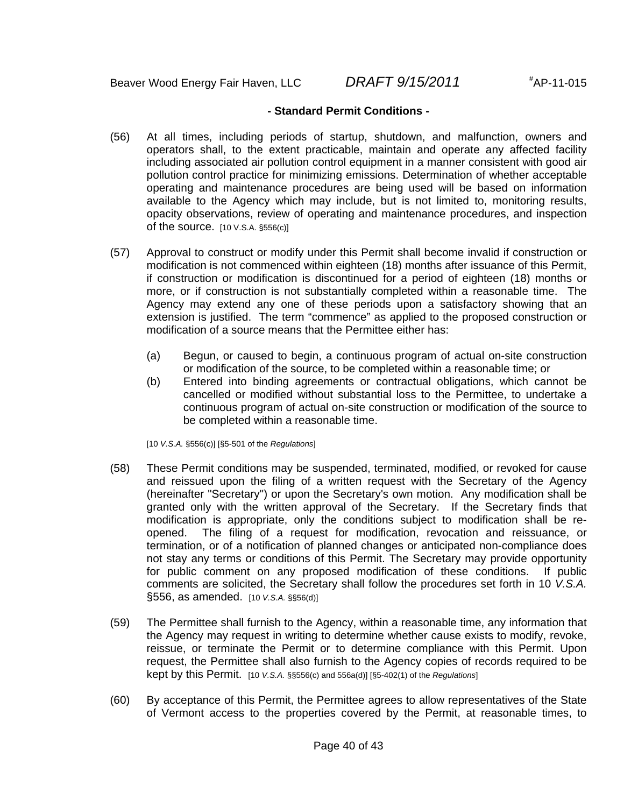#### **- Standard Permit Conditions -**

- (56) At all times, including periods of startup, shutdown, and malfunction, owners and operators shall, to the extent practicable, maintain and operate any affected facility including associated air pollution control equipment in a manner consistent with good air pollution control practice for minimizing emissions. Determination of whether acceptable operating and maintenance procedures are being used will be based on information available to the Agency which may include, but is not limited to, monitoring results, opacity observations, review of operating and maintenance procedures, and inspection of the source.  $[10 \text{ V.S.A. }$  §556(c)]
- (57) Approval to construct or modify under this Permit shall become invalid if construction or modification is not commenced within eighteen (18) months after issuance of this Permit, if construction or modification is discontinued for a period of eighteen (18) months or more, or if construction is not substantially completed within a reasonable time. The Agency may extend any one of these periods upon a satisfactory showing that an extension is justified. The term "commence" as applied to the proposed construction or modification of a source means that the Permittee either has:
	- (a) Begun, or caused to begin, a continuous program of actual on-site construction or modification of the source, to be completed within a reasonable time; or
	- (b) Entered into binding agreements or contractual obligations, which cannot be cancelled or modified without substantial loss to the Permittee, to undertake a continuous program of actual on-site construction or modification of the source to be completed within a reasonable time.

[10 *V.S.A.* §556(c)] [§5-501 of the *Regulations*]

- (58) These Permit conditions may be suspended, terminated, modified, or revoked for cause and reissued upon the filing of a written request with the Secretary of the Agency (hereinafter "Secretary") or upon the Secretary's own motion. Any modification shall be granted only with the written approval of the Secretary. If the Secretary finds that modification is appropriate, only the conditions subject to modification shall be reopened. The filing of a request for modification, revocation and reissuance, or termination, or of a notification of planned changes or anticipated non-compliance does not stay any terms or conditions of this Permit. The Secretary may provide opportunity for public comment on any proposed modification of these conditions. If public comments are solicited, the Secretary shall follow the procedures set forth in 10 *V.S.A.* §556, as amended. [10 *V.S.A.* §§56(d)]
- (59) The Permittee shall furnish to the Agency, within a reasonable time, any information that the Agency may request in writing to determine whether cause exists to modify, revoke, reissue, or terminate the Permit or to determine compliance with this Permit. Upon request, the Permittee shall also furnish to the Agency copies of records required to be kept by this Permit. [10 *V.S.A.* §§556(c) and 556a(d)] [§5-402(1) of the *Regulations*]
- (60) By acceptance of this Permit, the Permittee agrees to allow representatives of the State of Vermont access to the properties covered by the Permit, at reasonable times, to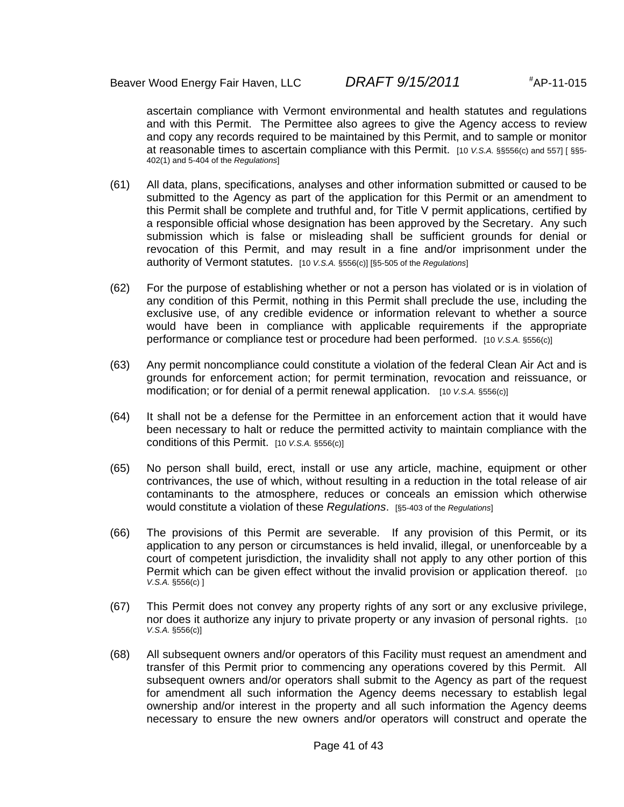ascertain compliance with Vermont environmental and health statutes and regulations and with this Permit. The Permittee also agrees to give the Agency access to review and copy any records required to be maintained by this Permit, and to sample or monitor at reasonable times to ascertain compliance with this Permit. [10 *V.S.A.* §§556(c) and 557] [ §§5- 402(1) and 5-404 of the *Regulations*]

- (61) All data, plans, specifications, analyses and other information submitted or caused to be submitted to the Agency as part of the application for this Permit or an amendment to this Permit shall be complete and truthful and, for Title V permit applications, certified by a responsible official whose designation has been approved by the Secretary. Any such submission which is false or misleading shall be sufficient grounds for denial or revocation of this Permit, and may result in a fine and/or imprisonment under the authority of Vermont statutes. [10 *V.S.A.* §556(c)] [§5-505 of the *Regulations*]
- (62) For the purpose of establishing whether or not a person has violated or is in violation of any condition of this Permit, nothing in this Permit shall preclude the use, including the exclusive use, of any credible evidence or information relevant to whether a source would have been in compliance with applicable requirements if the appropriate performance or compliance test or procedure had been performed. [10 *V.S.A.* §556(c)]
- (63) Any permit noncompliance could constitute a violation of the federal Clean Air Act and is grounds for enforcement action; for permit termination, revocation and reissuance, or modification; or for denial of a permit renewal application. [10 *V.S.A.* §556(c)]
- (64) It shall not be a defense for the Permittee in an enforcement action that it would have been necessary to halt or reduce the permitted activity to maintain compliance with the conditions of this Permit. [10 *V.S.A.* §556(c)]
- (65) No person shall build, erect, install or use any article, machine, equipment or other contrivances, the use of which, without resulting in a reduction in the total release of air contaminants to the atmosphere, reduces or conceals an emission which otherwise would constitute a violation of these *Regulations*. [§5-403 of the *Regulations*]
- (66) The provisions of this Permit are severable. If any provision of this Permit, or its application to any person or circumstances is held invalid, illegal, or unenforceable by a court of competent jurisdiction, the invalidity shall not apply to any other portion of this Permit which can be given effect without the invalid provision or application thereof. [10] *V.S.A.* §556(c) ]
- (67) This Permit does not convey any property rights of any sort or any exclusive privilege, nor does it authorize any injury to private property or any invasion of personal rights. [10 *V.S.A.* §556(c)]
- (68) All subsequent owners and/or operators of this Facility must request an amendment and transfer of this Permit prior to commencing any operations covered by this Permit. All subsequent owners and/or operators shall submit to the Agency as part of the request for amendment all such information the Agency deems necessary to establish legal ownership and/or interest in the property and all such information the Agency deems necessary to ensure the new owners and/or operators will construct and operate the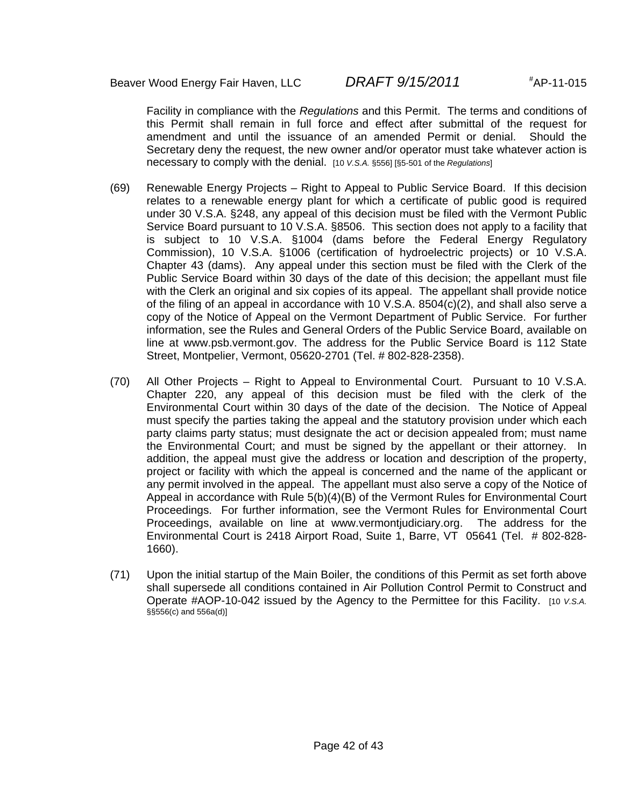Facility in compliance with the *Regulations* and this Permit. The terms and conditions of this Permit shall remain in full force and effect after submittal of the request for amendment and until the issuance of an amended Permit or denial. Should the Secretary deny the request, the new owner and/or operator must take whatever action is necessary to comply with the denial. [10 *V.S.A.* §556] [§5-501 of the *Regulations*]

- (69) Renewable Energy Projects Right to Appeal to Public Service Board. If this decision relates to a renewable energy plant for which a certificate of public good is required under 30 V.S.A. §248, any appeal of this decision must be filed with the Vermont Public Service Board pursuant to 10 V.S.A. §8506. This section does not apply to a facility that is subject to 10 V.S.A. §1004 (dams before the Federal Energy Regulatory Commission), 10 V.S.A. §1006 (certification of hydroelectric projects) or 10 V.S.A. Chapter 43 (dams). Any appeal under this section must be filed with the Clerk of the Public Service Board within 30 days of the date of this decision; the appellant must file with the Clerk an original and six copies of its appeal. The appellant shall provide notice of the filing of an appeal in accordance with 10 V.S.A.  $8504(c)(2)$ , and shall also serve a copy of the Notice of Appeal on the Vermont Department of Public Service. For further information, see the Rules and General Orders of the Public Service Board, available on line at www.psb.vermont.gov. The address for the Public Service Board is 112 State Street, Montpelier, Vermont, 05620-2701 (Tel. # 802-828-2358).
- (70) All Other Projects Right to Appeal to Environmental Court. Pursuant to 10 V.S.A. Chapter 220, any appeal of this decision must be filed with the clerk of the Environmental Court within 30 days of the date of the decision. The Notice of Appeal must specify the parties taking the appeal and the statutory provision under which each party claims party status; must designate the act or decision appealed from; must name the Environmental Court; and must be signed by the appellant or their attorney. In addition, the appeal must give the address or location and description of the property, project or facility with which the appeal is concerned and the name of the applicant or any permit involved in the appeal. The appellant must also serve a copy of the Notice of Appeal in accordance with Rule 5(b)(4)(B) of the Vermont Rules for Environmental Court Proceedings. For further information, see the Vermont Rules for Environmental Court Proceedings, available on line at www.vermontjudiciary.org. The address for the Environmental Court is 2418 Airport Road, Suite 1, Barre, VT 05641 (Tel. # 802-828- 1660).
- (71) Upon the initial startup of the Main Boiler, the conditions of this Permit as set forth above shall supersede all conditions contained in Air Pollution Control Permit to Construct and Operate #AOP-10-042 issued by the Agency to the Permittee for this Facility. [10 *V.S.A.* §§556(c) and 556a(d)]